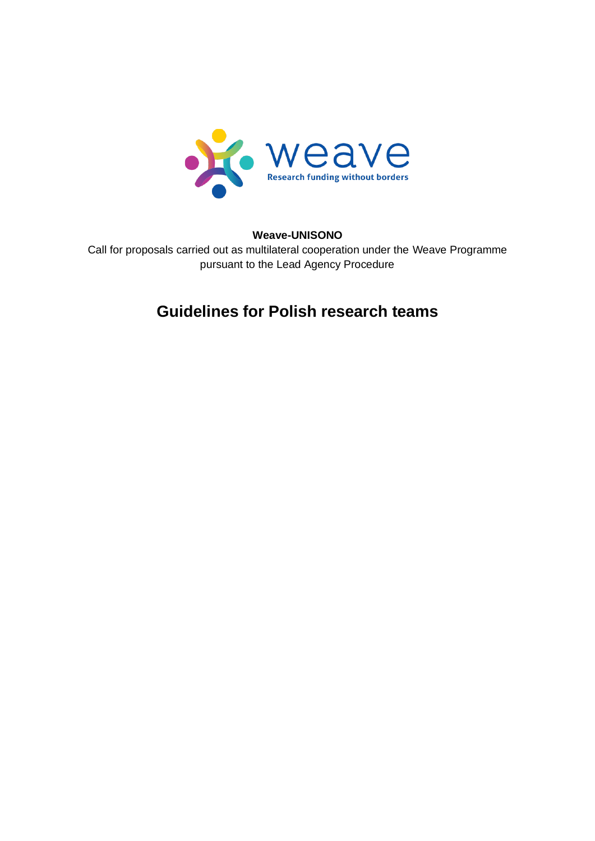

#### **Weave-UNISONO**

Call for proposals carried out as multilateral cooperation under the Weave Programme pursuant to the Lead Agency Procedure

# **Guidelines for Polish research teams**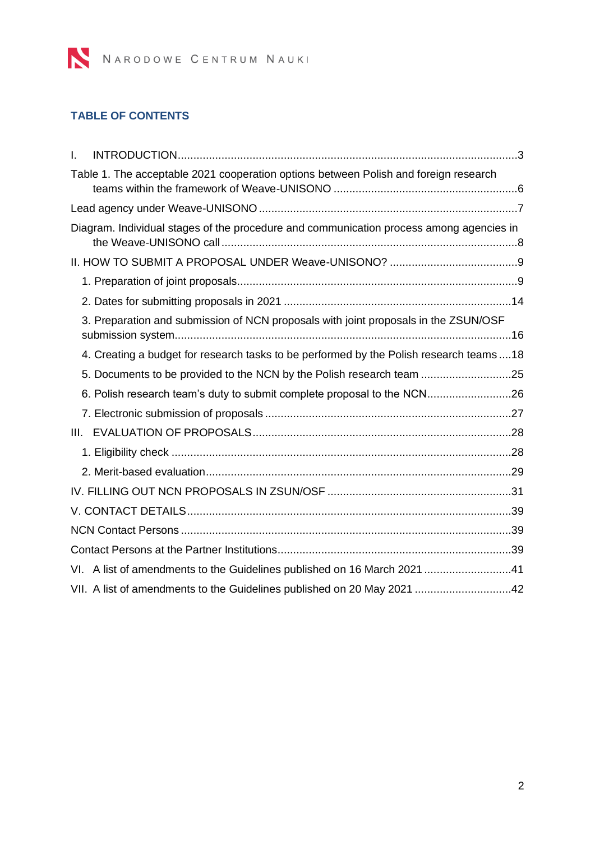

## **TABLE OF CONTENTS**

| I. |                                                                                          |  |
|----|------------------------------------------------------------------------------------------|--|
|    | Table 1. The acceptable 2021 cooperation options between Polish and foreign research     |  |
|    |                                                                                          |  |
|    | Diagram. Individual stages of the procedure and communication process among agencies in  |  |
|    |                                                                                          |  |
|    |                                                                                          |  |
|    |                                                                                          |  |
|    | 3. Preparation and submission of NCN proposals with joint proposals in the ZSUN/OSF      |  |
|    | 4. Creating a budget for research tasks to be performed by the Polish research teams  18 |  |
|    | 5. Documents to be provided to the NCN by the Polish research team 25                    |  |
|    | 6. Polish research team's duty to submit complete proposal to the NCN26                  |  |
|    |                                                                                          |  |
|    |                                                                                          |  |
|    |                                                                                          |  |
|    |                                                                                          |  |
|    |                                                                                          |  |
|    |                                                                                          |  |
|    |                                                                                          |  |
|    |                                                                                          |  |
|    | VI. A list of amendments to the Guidelines published on 16 March 2021 41                 |  |
|    | VII. A list of amendments to the Guidelines published on 20 May 2021 42                  |  |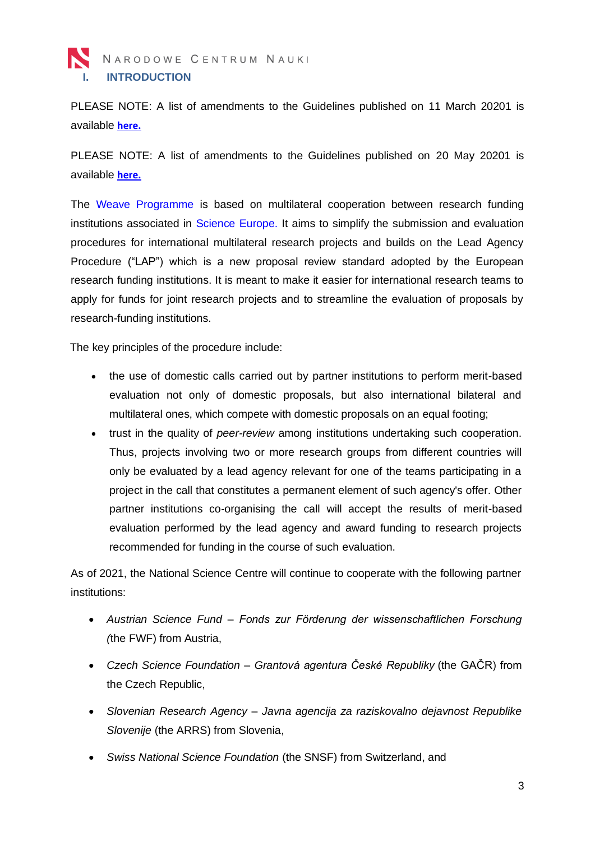<span id="page-2-0"></span>PLEASE NOTE: A list of amendments to the Guidelines published on 11 March 20201 is available **[here.](#page-40-1)**

PLEASE NOTE: A list of amendments to the Guidelines published on 20 May 20201 is available **[here.](#page-40-1)**

The [Weave Programme](https://ncn.gov.pl/wspolpraca-zagraniczna/wspolpraca-wielostronna/weave?language=pl) is based on multilateral cooperation between research funding institutions associated in [Science](http://www.scienceeurope.org/) Europe. It aims to simplify the submission and evaluation procedures for international multilateral research projects and builds on the Lead Agency Procedure ("LAP") which is a new proposal review standard adopted by the European research funding institutions. It is meant to make it easier for international research teams to apply for funds for joint research projects and to streamline the evaluation of proposals by research-funding institutions.

The key principles of the procedure include:

- the use of domestic calls carried out by partner institutions to perform merit-based evaluation not only of domestic proposals, but also international bilateral and multilateral ones, which compete with domestic proposals on an equal footing;
- trust in the quality of *peer-review* among institutions undertaking such cooperation. Thus, projects involving two or more research groups from different countries will only be evaluated by a lead agency relevant for one of the teams participating in a project in the call that constitutes a permanent element of such agency's offer. Other partner institutions co-organising the call will accept the results of merit-based evaluation performed by the lead agency and award funding to research projects recommended for funding in the course of such evaluation.

As of 2021, the National Science Centre will continue to cooperate with the following partner institutions:

- *Austrian Science Fund – Fonds zur Förderung der wissenschaftlichen Forschung (*the FWF) from Austria,
- *Czech Science Foundation – Grantová agentura České Republiky* (the GAČR) from the Czech Republic,
- *Slovenian Research Agency – Javna agencija za raziskovalno dejavnost Republike Slovenije* (the ARRS) from Slovenia,
- *Swiss National Science Foundation* (the SNSF) from Switzerland, and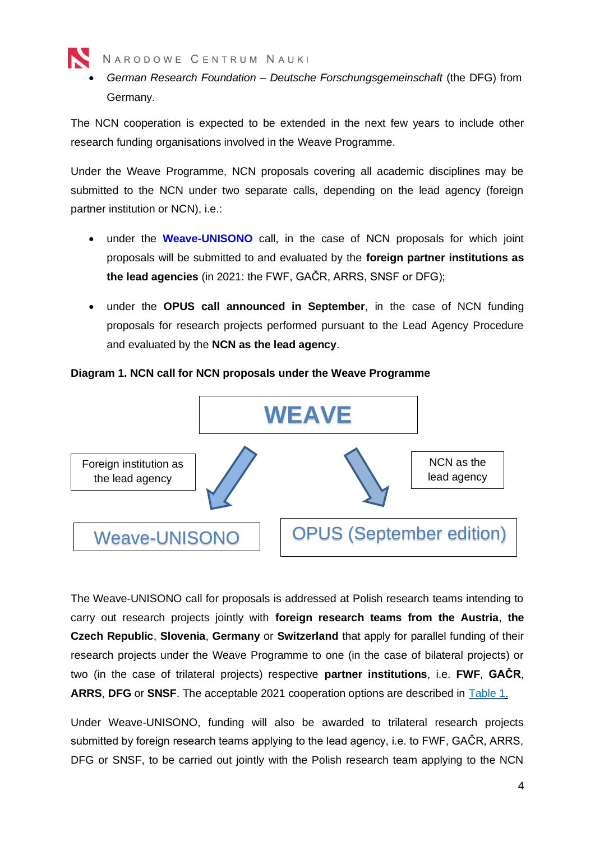

• *German Research Foundation – Deutsche Forschungsgemeinschaft* (the DFG) from Germany.

The NCN cooperation is expected to be extended in the next few years to include other research funding organisations involved in the Weave Programme.

Under the Weave Programme, NCN proposals covering all academic disciplines may be submitted to the NCN under two separate calls, depending on the lead agency (foreign partner institution or NCN), i.e.:

- under the **[Weave-UNISONO](https://www.ncn.gov.pl/ogloszenia/konkursy/weave-unisono?language=en)** call, in the case of NCN proposals for which joint proposals will be submitted to and evaluated by the **foreign partner institutions as the lead agencies** (in 2021: the FWF, GAČR, ARRS, SNSF or DFG);
- under the **OPUS call announced in September**, in the case of NCN funding proposals for research projects performed pursuant to the Lead Agency Procedure and evaluated by the **NCN as the lead agency**.

Foreign institution as the lead agency NCN as the lead agency **WEAVE** Weave-UNISONO | OPUS (September edition)

#### **Diagram 1. NCN call for NCN proposals under the Weave Programme**

The Weave-UNISONO call for proposals is addressed at Polish research teams intending to carry out research projects jointly with **foreign research teams from the Austria**, **the Czech Republic**, **Slovenia**, **Germany** or **Switzerland** that apply for parallel funding of their research projects under the Weave Programme to one (in the case of bilateral projects) or two (in the case of trilateral projects) respective **partner institutions**, i.e. **FWF**, **GAČR**, **ARRS**, **DFG** or **SNSF**. The acceptable 2021 cooperation options are described in [Table 1.](#page-5-0)

Under Weave-UNISONO, funding will also be awarded to trilateral research projects submitted by foreign research teams applying to the lead agency, i.e. to FWF, GAČR, ARRS, DFG or SNSF, to be carried out jointly with the Polish research team applying to the NCN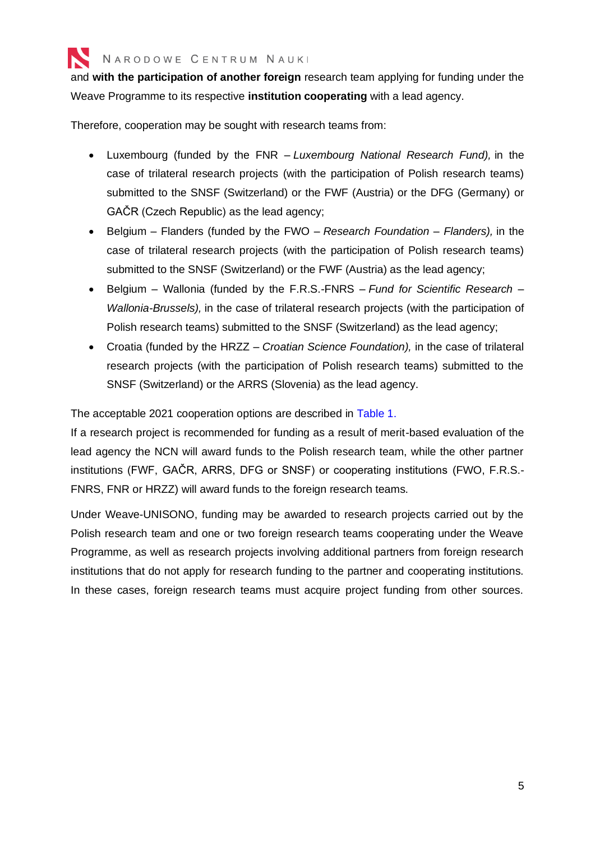

and **with the participation of another foreign** research team applying for funding under the Weave Programme to its respective **institution cooperating** with a lead agency.

Therefore, cooperation may be sought with research teams from:

- Luxembourg (funded by the FNR *Luxembourg National Research Fund),* in the case of trilateral research projects (with the participation of Polish research teams) submitted to the SNSF (Switzerland) or the FWF (Austria) or the DFG (Germany) or GAČR (Czech Republic) as the lead agency;
- Belgium Flanders (funded by the FWO *Research Foundation – Flanders),* in the case of trilateral research projects (with the participation of Polish research teams) submitted to the SNSF (Switzerland) or the FWF (Austria) as the lead agency;
- Belgium Wallonia (funded by the F.R.S.-FNRS *Fund for Scientific Research – Wallonia-Brussels),* in the case of trilateral research projects (with the participation of Polish research teams) submitted to the SNSF (Switzerland) as the lead agency;
- Croatia (funded by the HRZZ *Croatian Science Foundation),* in the case of trilateral research projects (with the participation of Polish research teams) submitted to the SNSF (Switzerland) or the ARRS (Slovenia) as the lead agency.

The acceptable 2021 cooperation options are described in [Table 1.](#page-5-0)

If a research project is recommended for funding as a result of merit-based evaluation of the lead agency the NCN will award funds to the Polish research team, while the other partner institutions (FWF, GAČR, ARRS, DFG or SNSF) or cooperating institutions (FWO, F.R.S.- FNRS, FNR or HRZZ) will award funds to the foreign research teams.

Under Weave-UNISONO, funding may be awarded to research projects carried out by the Polish research team and one or two foreign research teams cooperating under the Weave Programme, as well as research projects involving additional partners from foreign research institutions that do not apply for research funding to the partner and cooperating institutions. In these cases, foreign research teams must acquire project funding from other sources.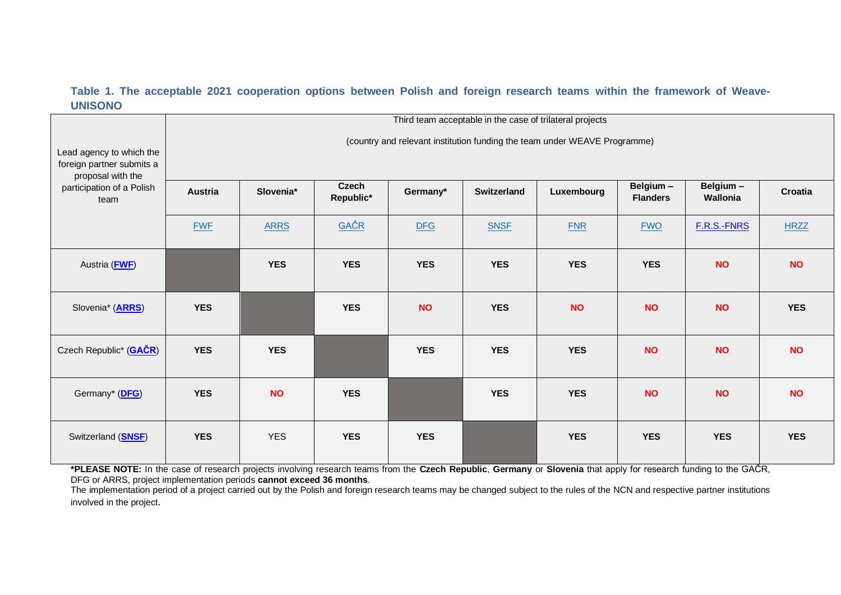#### <span id="page-5-1"></span>**Table 1. The acceptable 2021 cooperation options between Polish and foreign research teams within the framework of Weave-UNISONO**

|                                                        | Third team acceptable in the case of trilateral projects                  |             |                           |            |                    |            |                             |                      |             |
|--------------------------------------------------------|---------------------------------------------------------------------------|-------------|---------------------------|------------|--------------------|------------|-----------------------------|----------------------|-------------|
| Lead agency to which the<br>foreign partner submits a  | (country and relevant institution funding the team under WEAVE Programme) |             |                           |            |                    |            |                             |                      |             |
| proposal with the<br>participation of a Polish<br>team | <b>Austria</b>                                                            | Slovenia*   | <b>Czech</b><br>Republic* | Germany*   | <b>Switzerland</b> | Luxembourg | Belgium-<br><b>Flanders</b> | Belgium-<br>Wallonia | Croatia     |
|                                                        | <b>FWF</b>                                                                | <b>ARRS</b> | GAČR                      | <b>DFG</b> | <b>SNSF</b>        | <b>FNR</b> | <b>FWO</b>                  | F.R.S.-FNRS          | <b>HRZZ</b> |
| Austria (FWF)                                          |                                                                           | <b>YES</b>  | <b>YES</b>                | <b>YES</b> | <b>YES</b>         | <b>YES</b> | <b>YES</b>                  | <b>NO</b>            | <b>NO</b>   |
| Slovenia* (ARRS)                                       | <b>YES</b>                                                                |             | <b>YES</b>                | <b>NO</b>  | <b>YES</b>         | <b>NO</b>  | <b>NO</b>                   | <b>NO</b>            | <b>YES</b>  |
| Czech Republic* (GAČR)                                 | <b>YES</b>                                                                | <b>YES</b>  |                           | <b>YES</b> | <b>YES</b>         | <b>YES</b> | <b>NO</b>                   | <b>NO</b>            | <b>NO</b>   |
| Germany* (DFG)                                         | <b>YES</b>                                                                | <b>NO</b>   | <b>YES</b>                |            | <b>YES</b>         | <b>YES</b> | <b>NO</b>                   | <b>NO</b>            | <b>NO</b>   |
| Switzerland ( <b>SNSF</b> )                            | <b>YES</b>                                                                | <b>YES</b>  | <b>YES</b>                | <b>YES</b> |                    | <b>YES</b> | <b>YES</b>                  | <b>YES</b>           | <b>YES</b>  |

<span id="page-5-0"></span>**\*PLEASE NOTE:** In the case of research projects involving research teams from the **Czech Republic**, **Germany** or **Slovenia** that apply for research funding to the GAČR, DFG or ARRS, project implementation periods **cannot exceed 36 months**.

The implementation period of a project carried out by the Polish and foreign research teams may be changed subject to the rules of the NCN and respective partner institutions involved in the project.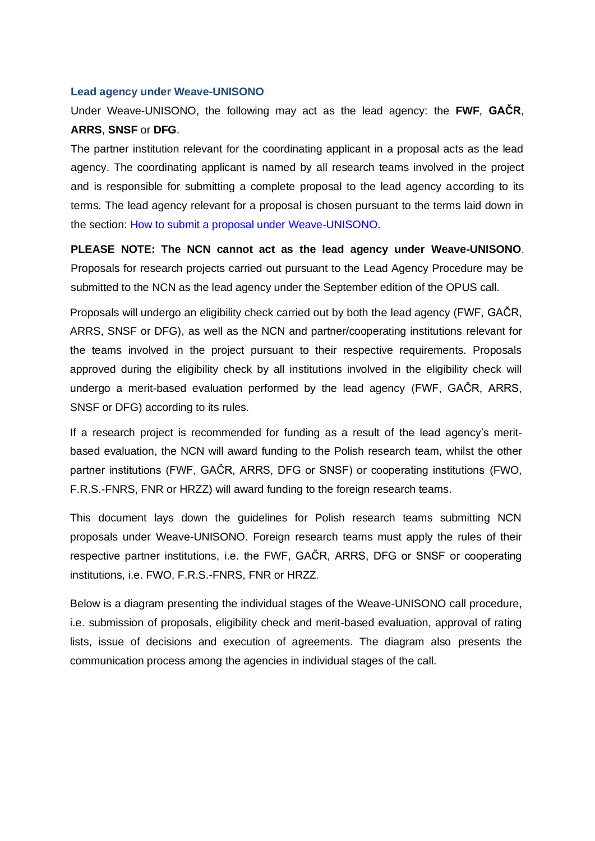#### <span id="page-6-0"></span>**Lead agency under Weave-UNISONO**

Under Weave-UNISONO, the following may act as the lead agency: the **FWF**, **GAČR**, **ARRS**, **SNSF** or **DFG**.

The partner institution relevant for the coordinating applicant in a proposal acts as the lead agency. The coordinating applicant is named by all research teams involved in the project and is responsible for submitting a complete proposal to the lead agency according to its terms. The lead agency relevant for a proposal is chosen pursuant to the terms laid down in the section: [How to submit a proposal under Weave-UNISONO.](#page-8-0)

**PLEASE NOTE: The NCN cannot act as the lead agency under Weave-UNISONO**. Proposals for research projects carried out pursuant to the Lead Agency Procedure may be submitted to the NCN as the lead agency under the September edition of the OPUS call.

Proposals will undergo an eligibility check carried out by both the lead agency (FWF, GAČR, ARRS, SNSF or DFG), as well as the NCN and partner/cooperating institutions relevant for the teams involved in the project pursuant to their respective requirements. Proposals approved during the eligibility check by all institutions involved in the eligibility check will undergo a merit-based evaluation performed by the lead agency (FWF, GAČR, ARRS, SNSF or DFG) according to its rules.

If a research project is recommended for funding as a result of the lead agency's meritbased evaluation, the NCN will award funding to the Polish research team, whilst the other partner institutions (FWF, GAČR, ARRS, DFG or SNSF) or cooperating institutions (FWO, F.R.S.-FNRS, FNR or HRZZ) will award funding to the foreign research teams.

This document lays down the guidelines for Polish research teams submitting NCN proposals under Weave-UNISONO. Foreign research teams must apply the rules of their respective partner institutions, i.e. the FWF, GAČR, ARRS, DFG or SNSF or cooperating institutions, i.e. FWO, F.R.S.-FNRS, FNR or HRZZ.

Below is a diagram presenting the individual stages of the Weave-UNISONO call procedure, i.e. submission of proposals, eligibility check and merit-based evaluation, approval of rating lists, issue of decisions and execution of agreements. The diagram also presents the communication process among the agencies in individual stages of the call.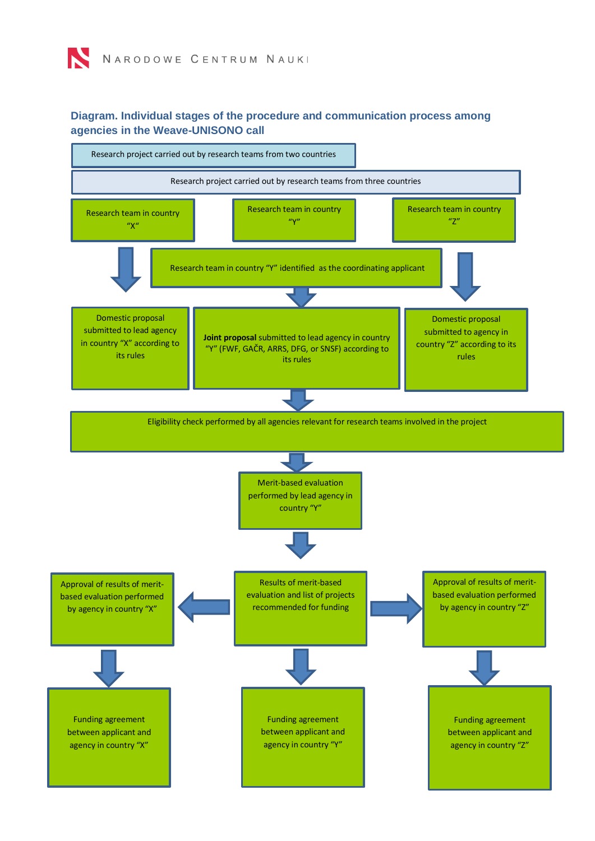#### <span id="page-7-0"></span>**Diagram. Individual stages of the procedure and communication process among agencies in the Weave-UNISONO call**

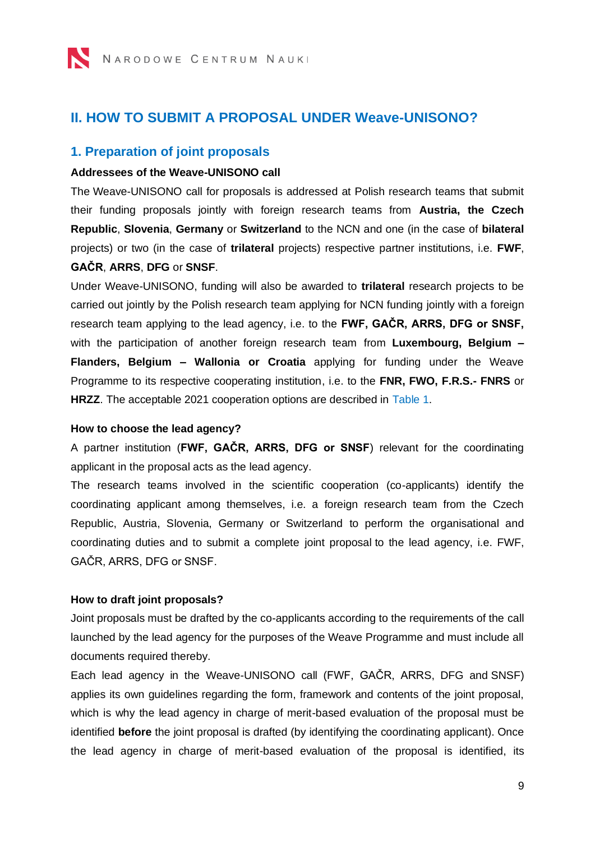# <span id="page-8-0"></span>**II. HOW TO SUBMIT A PROPOSAL UNDER Weave-UNISONO?**

### <span id="page-8-1"></span>**1. Preparation of joint proposals**

#### **Addressees of the Weave-UNISONO call**

The Weave-UNISONO call for proposals is addressed at Polish research teams that submit their funding proposals jointly with foreign research teams from **Austria, the Czech Republic**, **Slovenia**, **Germany** or **Switzerland** to the NCN and one (in the case of **bilateral** projects) or two (in the case of **trilateral** projects) respective partner institutions, i.e. **FWF**, **GAČR**, **ARRS**, **DFG** or **SNSF**.

Under Weave-UNISONO, funding will also be awarded to **trilateral** research projects to be carried out jointly by the Polish research team applying for NCN funding jointly with a foreign research team applying to the lead agency, i.e. to the **FWF, GAČR, ARRS, DFG or SNSF,**  with the participation of another foreign research team from **Luxembourg, Belgium – Flanders, Belgium – Wallonia or Croatia** applying for funding under the Weave Programme to its respective cooperating institution, i.e. to the **FNR, FWO, F.R.S.- FNRS** or **HRZZ**. The acceptable 2021 cooperation options are described in [Table 1.](#page-5-0)

#### **How to choose the lead agency?**

A partner institution (**FWF, GAČR, ARRS, DFG or SNSF**) relevant for the coordinating applicant in the proposal acts as the lead agency.

The research teams involved in the scientific cooperation (co-applicants) identify the coordinating applicant among themselves, i.e. a foreign research team from the Czech Republic, Austria, Slovenia, Germany or Switzerland to perform the organisational and coordinating duties and to submit a complete joint proposal to the lead agency, i.e. FWF, GAČR, ARRS, DFG or SNSF.

#### **How to draft joint proposals?**

Joint proposals must be drafted by the co-applicants according to the requirements of the call launched by the lead agency for the purposes of the Weave Programme and must include all documents required thereby.

Each lead agency in the Weave-UNISONO call (FWF, GAČR, ARRS, DFG and SNSF) applies its own guidelines regarding the form, framework and contents of the joint proposal, which is why the lead agency in charge of merit-based evaluation of the proposal must be identified **before** the joint proposal is drafted (by identifying the coordinating applicant). Once the lead agency in charge of merit-based evaluation of the proposal is identified, its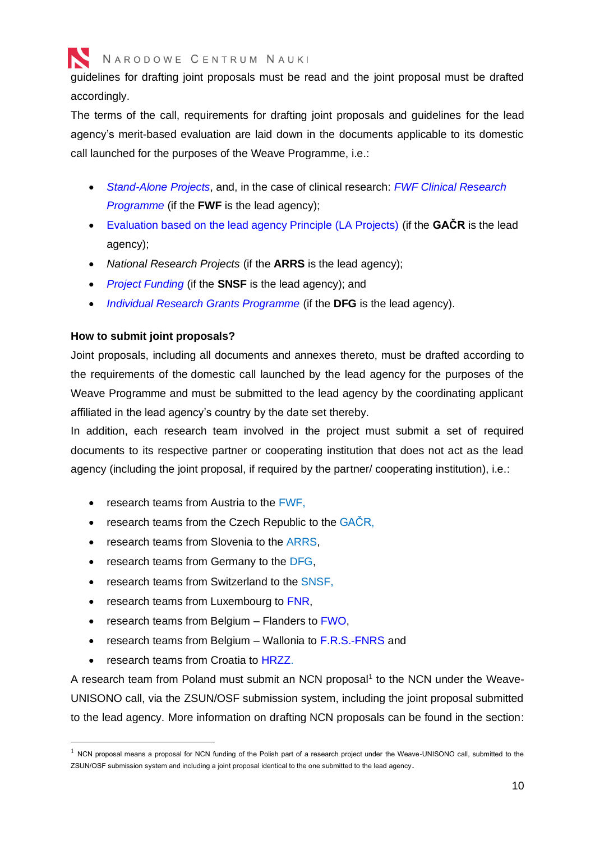

guidelines for drafting joint proposals must be read and the joint proposal must be drafted accordingly.

The terms of the call, requirements for drafting joint proposals and guidelines for the lead agency's merit-based evaluation are laid down in the documents applicable to its domestic call launched for the purposes of the Weave Programme, i.e.:

- *[Stand-Alone Projects](https://www.fwf.ac.at/en/research-funding/fwf-programmes/stand-alone-projects/)*, and, in the case of clinical research: *[FWF Clinical Research](https://www.fwf.ac.at/en/research-funding/fwf-programmes/programme-clinical-research-klif/)  [Programme](https://www.fwf.ac.at/en/research-funding/fwf-programmes/programme-clinical-research-klif/)* (if the **FWF** is the lead agency);
- [Evaluation based on the lead agency Principle \(LA Projects\)](https://gacr.cz/vyzva-pro-podavani-projektu-na-principu-hodnoceni-lead-agency-3/) (if the **GAČR** is the lead agency);
- *National Research Projects* (if the **ARRS** is the lead agency);
- *[Project Funding](http://www.snf.ch/en/funding/projects/projects-in-all-disciplines/Pages/default.aspx)* (if the **SNSF** is the lead agency); and
- *[Individual Research Grants Programme](http://www.dfg.de/lead_agency_weave/en)* (if the **DFG** is the lead agency).

#### **How to submit joint proposals?**

Joint proposals, including all documents and annexes thereto, must be drafted according to the requirements of the domestic call launched by the lead agency for the purposes of the Weave Programme and must be submitted to the lead agency by the coordinating applicant affiliated in the lead agency's country by the date set thereby.

In addition, each research team involved in the project must submit a set of required documents to its respective partner or cooperating institution that does not act as the lead agency (including the joint proposal, if required by the partner/ cooperating institution), i.e.:

- research teams from Austria to the [FWF,](https://www.fwf.ac.at/)
- research teams from the Czech Republic to the [GAČR,](https://gacr.cz/)
- research teams from Slovenia to the [ARRS,](http://www.arrs.si/sl/index.asp)
- research teams from Germany to the [DFG,](https://www.dfg.de/index.jsp)
- research teams from Switzerland to the [SNSF,](http://www.snf.ch/en/Pages/default.aspx)
- research teams from Luxembourg to [FNR,](https://www.fnr.lu/)
- research teams from Belgium Flanders to [FWO,](https://www.fwo.be/en/)
- research teams from Belgium Wallonia to [F.R.S.-FNRS](https://www.frs-fnrs.be/en/) and
- research teams from Croatia to [HRZZ.](https://hrzz.hr/en/)

A research team from Poland must submit an NCN proposal<sup>1</sup> to the NCN under the Weave-UNISONO call, via the ZSUN/OSF submission system, including the joint proposal submitted to the lead agency. More information on drafting NCN proposals can be found in the section:

 $1$  NCN proposal means a proposal for NCN funding of the Polish part of a research project under the Weave-UNISONO call, submitted to the ZSUN/OSF submission system and including a joint proposal identical to the one submitted to the lead agency.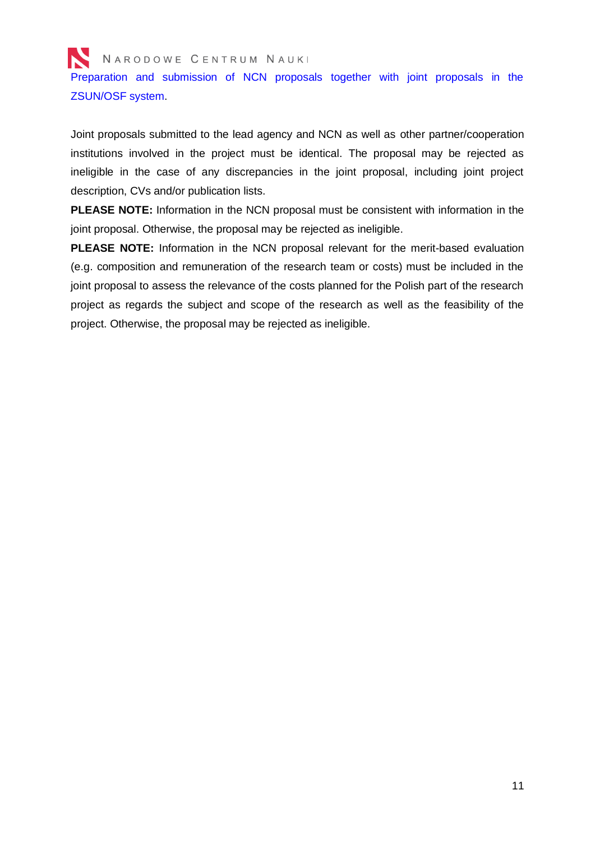Preparation and submission of NCN proposals together with joint proposals in the [ZSUN/OSF system.](#page-15-0)

Joint proposals submitted to the lead agency and NCN as well as other partner/cooperation institutions involved in the project must be identical. The proposal may be rejected as ineligible in the case of any discrepancies in the joint proposal, including joint project description, CVs and/or publication lists.

**PLEASE NOTE:** Information in the NCN proposal must be consistent with information in the joint proposal. Otherwise, the proposal may be rejected as ineligible.

**PLEASE NOTE:** Information in the NCN proposal relevant for the merit-based evaluation (e.g. composition and remuneration of the research team or costs) must be included in the joint proposal to assess the relevance of the costs planned for the Polish part of the research project as regards the subject and scope of the research as well as the feasibility of the project. Otherwise, the proposal may be rejected as ineligible.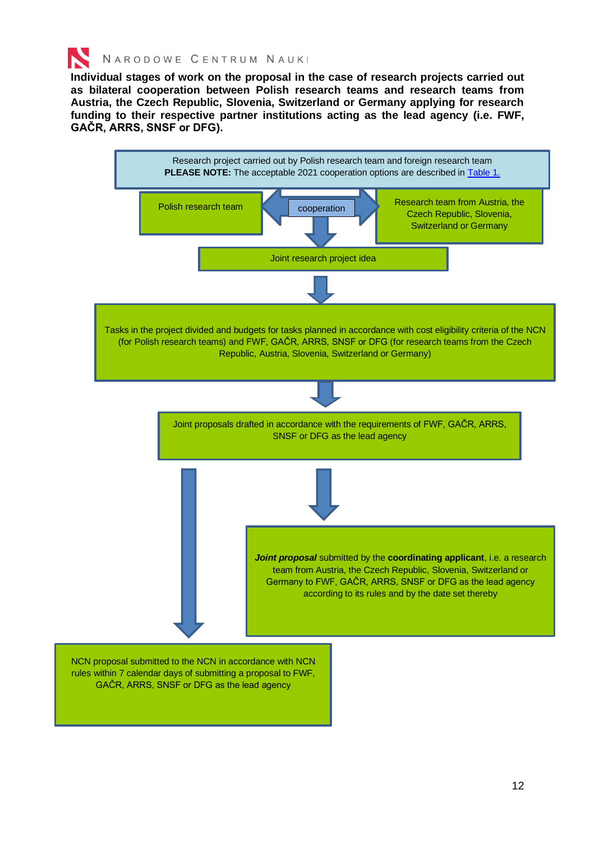

**Individual stages of work on the proposal in the case of research projects carried out as bilateral cooperation between Polish research teams and research teams from Austria, the Czech Republic, Slovenia, Switzerland or Germany applying for research funding to their respective partner institutions acting as the lead agency (i.e. FWF, GAČR, ARRS, SNSF or DFG).** 

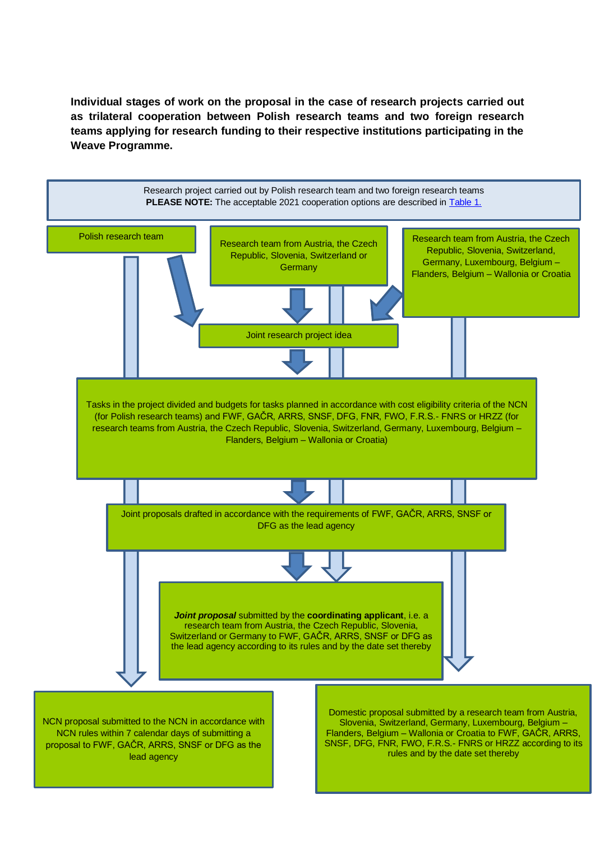**Individual stages of work on the proposal in the case of research projects carried out as trilateral cooperation between Polish research teams and two foreign research teams applying for research funding to their respective institutions participating in the Weave Programme.** 

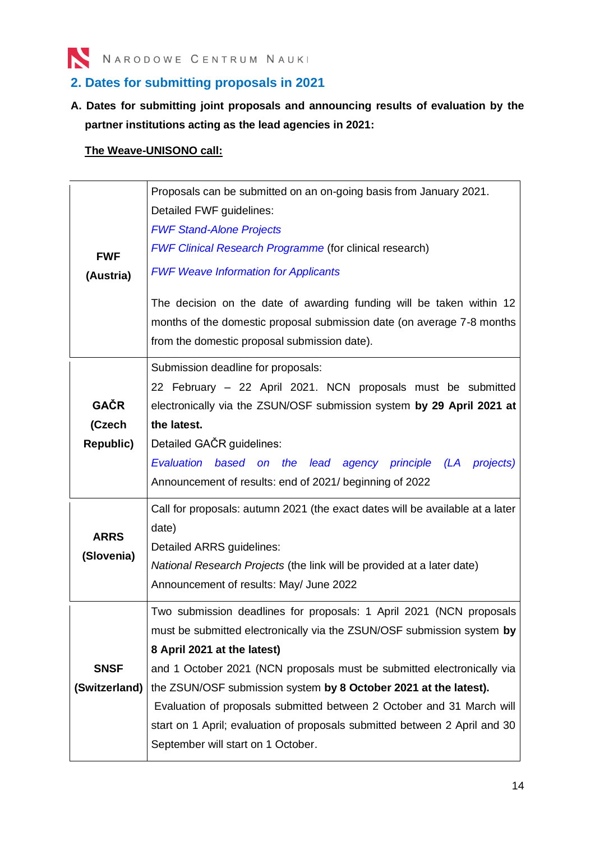

## <span id="page-13-0"></span>**2. Dates for submitting proposals in 2021**

**A. Dates for submitting joint proposals and announcing results of evaluation by the partner institutions acting as the lead agencies in 2021:**

### **The Weave-UNISONO call:**

| <b>FWF</b><br>(Austria)                   | Proposals can be submitted on an on-going basis from January 2021.<br>Detailed FWF guidelines:<br><b>FWF Stand-Alone Projects</b><br><b>FWF Clinical Research Programme (for clinical research)</b><br><b>FWF Weave Information for Applicants</b><br>The decision on the date of awarding funding will be taken within 12<br>months of the domestic proposal submission date (on average 7-8 months<br>from the domestic proposal submission date).                                                                    |
|-------------------------------------------|-------------------------------------------------------------------------------------------------------------------------------------------------------------------------------------------------------------------------------------------------------------------------------------------------------------------------------------------------------------------------------------------------------------------------------------------------------------------------------------------------------------------------|
| <b>GAČR</b><br>(Czech<br><b>Republic)</b> | Submission deadline for proposals:<br>22 February - 22 April 2021. NCN proposals must be submitted<br>electronically via the ZSUN/OSF submission system by 29 April 2021 at<br>the latest.<br>Detailed GAČR guidelines:<br>Evaluation based on the<br>lead agency principle (LA<br>projects)<br>Announcement of results: end of 2021/ beginning of 2022                                                                                                                                                                 |
| <b>ARRS</b><br>(Slovenia)                 | Call for proposals: autumn 2021 (the exact dates will be available at a later<br>date)<br>Detailed ARRS guidelines:<br>National Research Projects (the link will be provided at a later date)<br>Announcement of results: May/ June 2022                                                                                                                                                                                                                                                                                |
| <b>SNSF</b><br>(Switzerland)              | Two submission deadlines for proposals: 1 April 2021 (NCN proposals<br>must be submitted electronically via the ZSUN/OSF submission system by<br>8 April 2021 at the latest)<br>and 1 October 2021 (NCN proposals must be submitted electronically via<br>the ZSUN/OSF submission system by 8 October 2021 at the latest).<br>Evaluation of proposals submitted between 2 October and 31 March will<br>start on 1 April; evaluation of proposals submitted between 2 April and 30<br>September will start on 1 October. |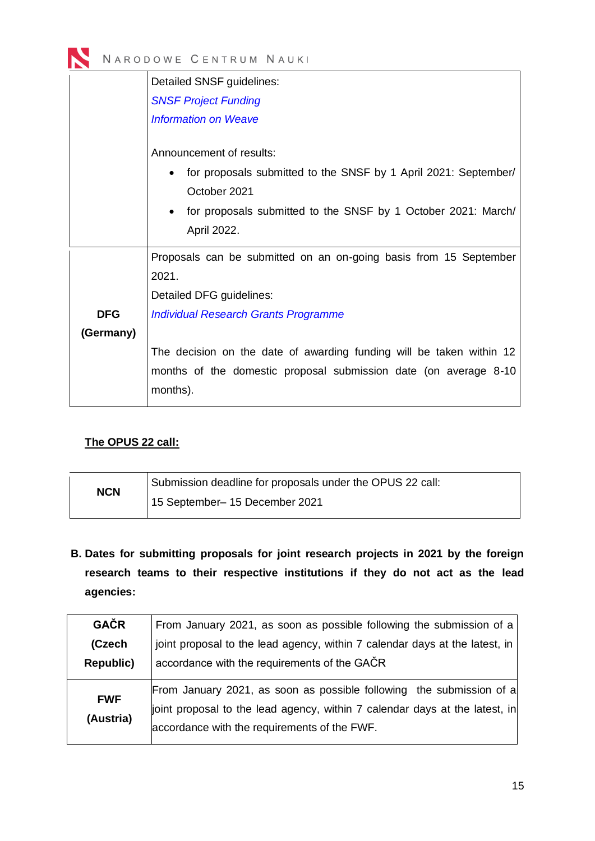

|            | Detailed SNSF guidelines:                                                                   |  |  |  |  |  |
|------------|---------------------------------------------------------------------------------------------|--|--|--|--|--|
|            | <b>SNSF Project Funding</b>                                                                 |  |  |  |  |  |
|            | <b>Information on Weave</b>                                                                 |  |  |  |  |  |
|            | Announcement of results:<br>for proposals submitted to the SNSF by 1 April 2021: September/ |  |  |  |  |  |
|            | October 2021                                                                                |  |  |  |  |  |
|            | for proposals submitted to the SNSF by 1 October 2021: March/<br>April 2022.                |  |  |  |  |  |
|            | Proposals can be submitted on an on-going basis from 15 September                           |  |  |  |  |  |
|            | 2021.                                                                                       |  |  |  |  |  |
|            | Detailed DFG guidelines:                                                                    |  |  |  |  |  |
| <b>DFG</b> | <b>Individual Research Grants Programme</b>                                                 |  |  |  |  |  |
| (Germany)  |                                                                                             |  |  |  |  |  |
|            | The decision on the date of awarding funding will be taken within 12                        |  |  |  |  |  |
|            | months of the domestic proposal submission date (on average 8-10<br>months).                |  |  |  |  |  |

### **The OPUS 22 call:**

| <b>NCN</b> | Submission deadline for proposals under the OPUS 22 call: |
|------------|-----------------------------------------------------------|
|            | 15 September- 15 December 2021                            |

**B. Dates for submitting proposals for joint research projects in 2021 by the foreign research teams to their respective institutions if they do not act as the lead agencies:**

| <b>GAČR</b>             | From January 2021, as soon as possible following the submission of a                                                                                                                                |
|-------------------------|-----------------------------------------------------------------------------------------------------------------------------------------------------------------------------------------------------|
| (Czech                  | joint proposal to the lead agency, within 7 calendar days at the latest, in                                                                                                                         |
| <b>Republic)</b>        | accordance with the requirements of the GACR                                                                                                                                                        |
| <b>FWF</b><br>(Austria) | From January 2021, as soon as possible following the submission of a<br>joint proposal to the lead agency, within 7 calendar days at the latest, in<br>accordance with the requirements of the FWF. |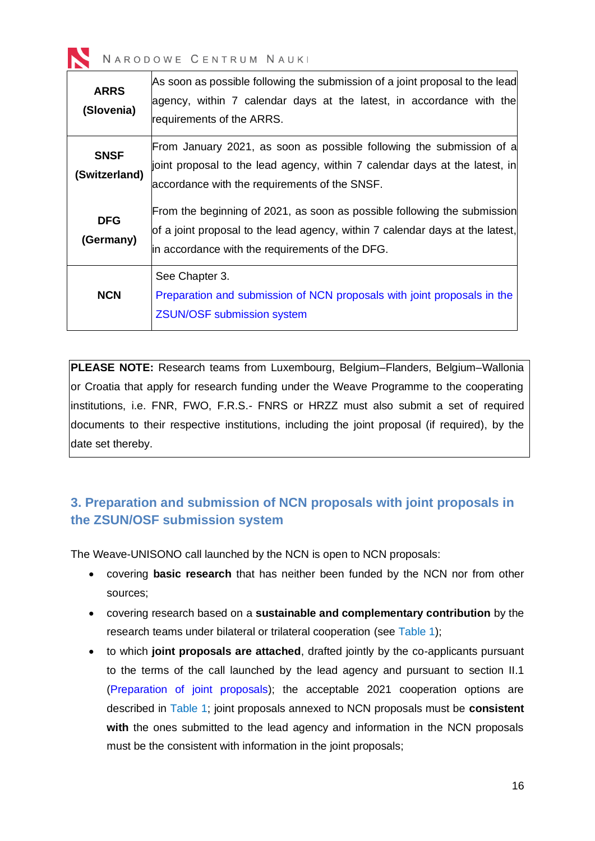

| <b>ARRS</b><br>(Slovenia)    | As soon as possible following the submission of a joint proposal to the lead<br>agency, within 7 calendar days at the latest, in accordance with the<br>requirements of the ARRS.                            |
|------------------------------|--------------------------------------------------------------------------------------------------------------------------------------------------------------------------------------------------------------|
| <b>SNSF</b><br>(Switzerland) | From January 2021, as soon as possible following the submission of a<br>joint proposal to the lead agency, within 7 calendar days at the latest, in<br>accordance with the requirements of the SNSF.         |
| <b>DFG</b><br>(Germany)      | From the beginning of 2021, as soon as possible following the submission<br>of a joint proposal to the lead agency, within 7 calendar days at the latest,<br>in accordance with the requirements of the DFG. |
| <b>NCN</b>                   | See Chapter 3.<br>Preparation and submission of NCN proposals with joint proposals in the<br><b>ZSUN/OSF submission system</b>                                                                               |

**PLEASE NOTE:** Research teams from Luxembourg, Belgium–Flanders, Belgium–Wallonia or Croatia that apply for research funding under the Weave Programme to the cooperating institutions, i.e. FNR, FWO, F.R.S.- FNRS or HRZZ must also submit a set of required documents to their respective institutions, including the joint proposal (if required), by the date set thereby.

## <span id="page-15-0"></span>**3. Preparation and submission of NCN proposals with joint proposals in the ZSUN/OSF submission system**

The Weave-UNISONO call launched by the NCN is open to NCN proposals:

- covering **basic research** that has neither been funded by the NCN nor from other sources;
- covering research based on a **sustainable and complementary contribution** by the research teams under bilateral or trilateral cooperation (see [Table 1\)](#page-5-0);
- to which **joint proposals are attached**, drafted jointly by the co-applicants pursuant to the terms of the call launched by the lead agency and pursuant to section II.1 [\(Preparation of joint proposals\)](#page-8-1); the acceptable 2021 cooperation options are described in [Table 1;](#page-5-0) joint proposals annexed to NCN proposals must be **consistent**  with the ones submitted to the lead agency and information in the NCN proposals must be the consistent with information in the joint proposals;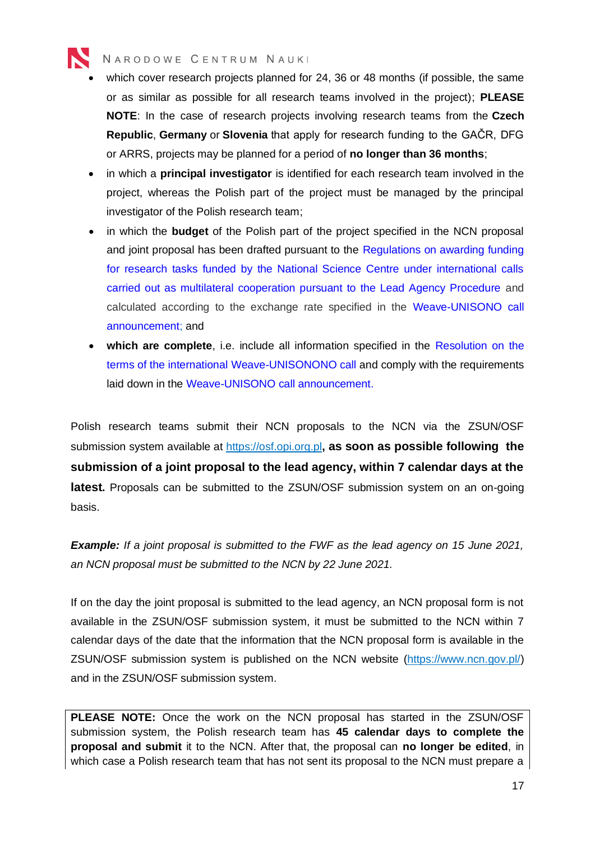

- which cover research projects planned for 24, 36 or 48 months (if possible, the same or as similar as possible for all research teams involved in the project); **PLEASE NOTE**: In the case of research projects involving research teams from the **Czech Republic**, **Germany** or **Slovenia** that apply for research funding to the GAČR, DFG or ARRS, projects may be planned for a period of **no longer than 36 months**;
- in which a **principal investigator** is identified for each research team involved in the project, whereas the Polish part of the project must be managed by the principal investigator of the Polish research team;
- in which the **budget** of the Polish part of the project specified in the NCN proposal and joint proposal has been drafted pursuant to the [Regulations on awarding funding](https://www.ncn.gov.pl/sites/default/files/pliki/uchwaly-rady/2020/uchwala133_2020-zal1_ang.pdf)  for [research tasks funded by the National Science Centre under international calls](https://www.ncn.gov.pl/sites/default/files/pliki/uchwaly-rady/2020/uchwala133_2020-zal1_ang.pdf)  [carried out as multilateral cooperation pursuant to the Lead Agency Procedure](https://www.ncn.gov.pl/sites/default/files/pliki/uchwaly-rady/2020/uchwala133_2020-zal1_ang.pdf) and calculated according to the exchange rate specified in the [Weave-UNISONO](https://www.ncn.gov.pl/ogloszenia/konkursy/weave-unisono?language=en) call [announcement;](https://www.ncn.gov.pl/ogloszenia/konkursy/weave-unisono?language=en) and
- **which are complete**, i.e. include all information specified in the [Resolution on the](https://www.ncn.gov.pl/sites/default/files/pliki/uchwaly-rady/2020/uchwala134_2020_ang.pdf)  [terms of the international Weave-UNISONONO call](https://www.ncn.gov.pl/sites/default/files/pliki/uchwaly-rady/2020/uchwala134_2020_ang.pdf) and comply with the requirements laid down in the Weave-UNISONO [call announcement.](https://www.ncn.gov.pl/ogloszenia/konkursy/weave-unisono?language=en)

Polish research teams submit their NCN proposals to the NCN via the ZSUN/OSF submission system available at [https://osf.opi.org.pl](https://osf.opi.org.pl/)**, as soon as possible following the submission of a joint proposal to the lead agency, within 7 calendar days at the latest.** Proposals can be submitted to the ZSUN/OSF submission system on an on-going basis.

*Example: If a joint proposal is submitted to the FWF as the lead agency on 15 June 2021, an NCN proposal must be submitted to the NCN by 22 June 2021.*

If on the day the joint proposal is submitted to the lead agency, an NCN proposal form is not available in the ZSUN/OSF submission system, it must be submitted to the NCN within 7 calendar days of the date that the information that the NCN proposal form is available in the ZSUN/OSF submission system is published on the NCN website [\(https://www.ncn.gov.pl/\)](https://www.ncn.gov.pl/) and in the ZSUN/OSF submission system.

**PLEASE NOTE:** Once the work on the NCN proposal has started in the ZSUN/OSF submission system, the Polish research team has **45 calendar days to complete the proposal and submit** it to the NCN. After that, the proposal can **no longer be edited**, in which case a Polish research team that has not sent its proposal to the NCN must prepare a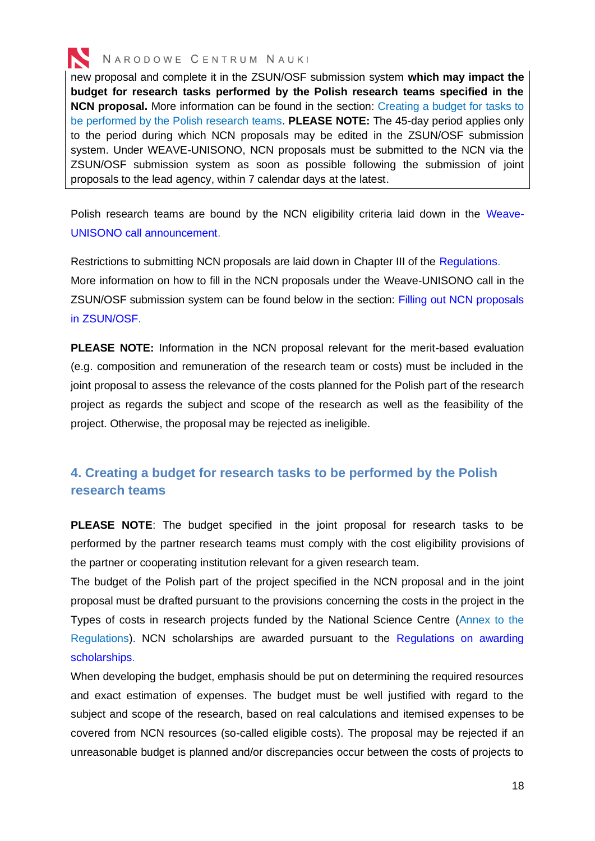

new proposal and complete it in the ZSUN/OSF submission system **which may impact the budget for research tasks performed by the Polish research teams specified in the NCN proposal.** More information can be found in the section: Creating a budget for tasks to be performed by the Polish research teams. **PLEASE NOTE:** The 45-day period applies only to the period during which NCN proposals may be edited in the ZSUN/OSF submission system. Under WEAVE-UNISONO, NCN proposals must be submitted to the NCN via the ZSUN/OSF submission system as soon as possible following the submission of joint proposals to the lead agency, within 7 calendar days at the latest.

<span id="page-17-1"></span>Polish research teams are bound by the NCN eligibility criteria laid down in the [Weave-](https://www.ncn.gov.pl/ogloszenia/konkursy/weave-unisono?language=en)UNISONO [call announcement.](https://www.ncn.gov.pl/ogloszenia/konkursy/weave-unisono?language=en)

Restrictions to submitting NCN proposals are laid down in Chapter III of the [Regulations.](https://www.ncn.gov.pl/sites/default/files/pliki/uchwaly-rady/2020/uchwala133_2020-zal1_ang.pdf) More information on how to fill in the NCN proposals under the Weave-UNISONO call in the ZSUN/OSF submission system can be found below in the section: [Filling out NCN proposals](#page-30-0)  [in ZSUN/OSF.](#page-30-0)

**PLEASE NOTE:** Information in the NCN proposal relevant for the merit-based evaluation (e.g. composition and remuneration of the research team or costs) must be included in the joint proposal to assess the relevance of the costs planned for the Polish part of the research project as regards the subject and scope of the research as well as the feasibility of the project. Otherwise, the proposal may be rejected as ineligible.

## <span id="page-17-0"></span>**4. Creating a budget for research tasks to be performed by the Polish research teams**

**PLEASE NOTE**: The budget specified in the joint proposal for research tasks to be performed by the partner research teams must comply with the cost eligibility provisions of the partner or cooperating institution relevant for a given research team.

The budget of the Polish part of the project specified in the NCN proposal and in the joint proposal must be drafted pursuant to the provisions concerning the costs in the project in the Types of costs in research projects funded by the National Science Centre [\(Annex to the](https://www.ncn.gov.pl/sites/default/files/pliki/uchwaly-rady/2020/uchwala133_2020-zal1_ang.pdf#page=8)  [Regulations\)](https://www.ncn.gov.pl/sites/default/files/pliki/uchwaly-rady/2020/uchwala133_2020-zal1_ang.pdf#page=8). NCN scholarships are awarded pursuant to the [Regulations on awarding](https://www.ncn.gov.pl/sites/default/files/pliki/uchwaly-rady/2019/uchwala25_2019-zal1_ang.pdf)  [scholarships.](https://www.ncn.gov.pl/sites/default/files/pliki/uchwaly-rady/2019/uchwala25_2019-zal1_ang.pdf)

When developing the budget, emphasis should be put on determining the required resources and exact estimation of expenses. The budget must be well justified with regard to the subject and scope of the research, based on real calculations and itemised expenses to be covered from NCN resources (so-called eligible costs). The proposal may be rejected if an unreasonable budget is planned and/or discrepancies occur between the costs of projects to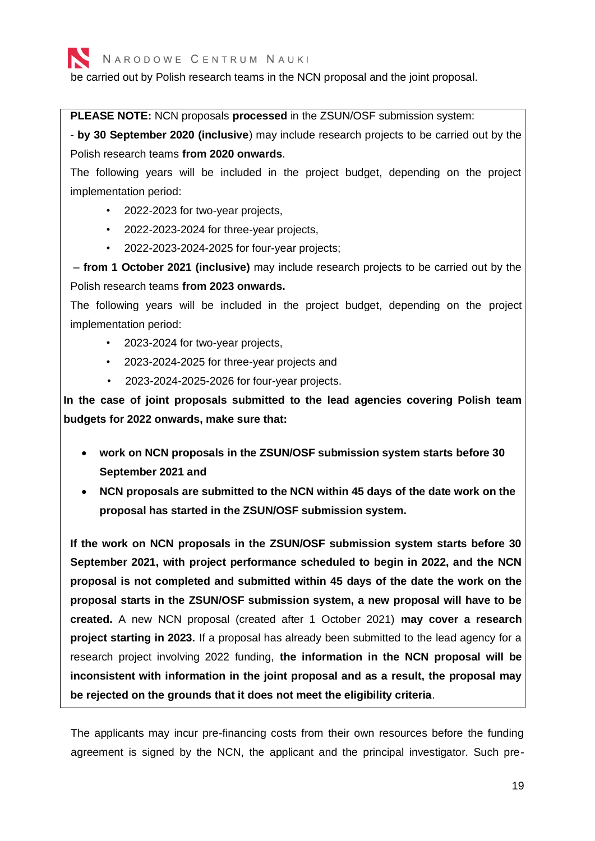be carried out by Polish research teams in the NCN proposal and the joint proposal.

**PLEASE NOTE:** NCN proposals **processed** in the ZSUN/OSF submission system:

- **by 30 September 2020 (inclusive**) may include research projects to be carried out by the Polish research teams **from 2020 onwards**.

The following years will be included in the project budget, depending on the project implementation period:

- 2022-2023 for two-year projects,
- 2022-2023-2024 for three-year projects,
- 2022-2023-2024-2025 for four-year projects;

– **from 1 October 2021 (inclusive)** may include research projects to be carried out by the Polish research teams **from 2023 onwards.**

The following years will be included in the project budget, depending on the project implementation period:

- 2023-2024 for two-year projects,
- 2023-2024-2025 for three-year projects and
- 2023-2024-2025-2026 for four-year projects.

**In the case of joint proposals submitted to the lead agencies covering Polish team budgets for 2022 onwards, make sure that:**

- **work on NCN proposals in the ZSUN/OSF submission system starts before 30 September 2021 and**
- **NCN proposals are submitted to the NCN within 45 days of the date work on the proposal has started in the ZSUN/OSF submission system.**

**If the work on NCN proposals in the ZSUN/OSF submission system starts before 30 September 2021, with project performance scheduled to begin in 2022, and the NCN proposal is not completed and submitted within 45 days of the date the work on the proposal starts in the ZSUN/OSF submission system, a new proposal will have to be created.** A new NCN proposal (created after 1 October 2021) **may cover a research project starting in 2023.** If a proposal has already been submitted to the lead agency for a research project involving 2022 funding, **the information in the NCN proposal will be inconsistent with information in the joint proposal and as a result, the proposal may be rejected on the grounds that it does not meet the eligibility criteria**.

The applicants may incur pre-financing costs from their own resources before the funding agreement is signed by the NCN, the applicant and the principal investigator. Such pre-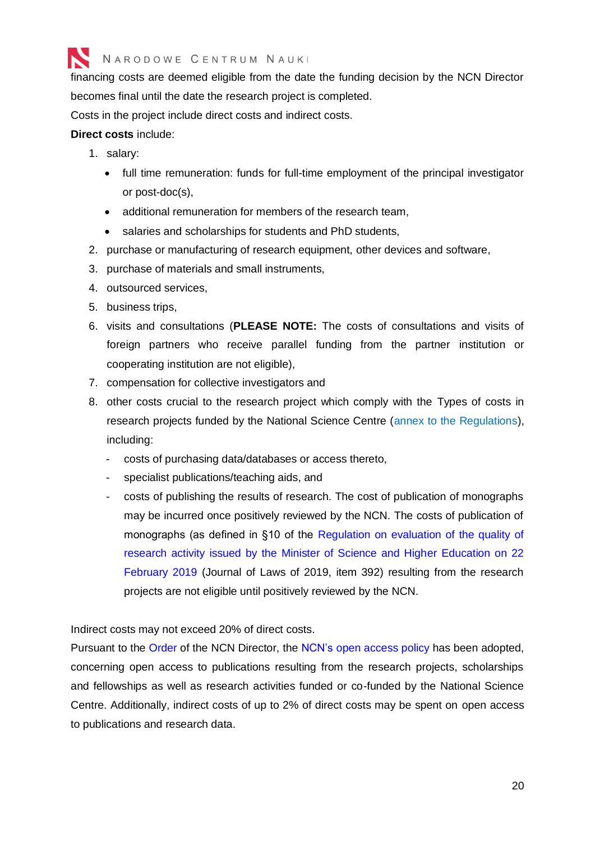

financing costs are deemed eligible from the date the funding decision by the NCN Director becomes final until the date the research project is completed.

Costs in the project include direct costs and indirect costs.

#### **Direct costs** include:

- 1. salary:
	- full time remuneration: funds for full-time employment of the principal investigator or post-doc(s),
	- additional remuneration for members of the research team,
	- salaries and scholarships for students and PhD students,
- 2. purchase or manufacturing of research equipment, other devices and software,
- 3. purchase of materials and small instruments,
- 4. outsourced services,
- 5. business trips,
- 6. visits and consultations (**PLEASE NOTE:** The costs of consultations and visits of foreign partners who receive parallel funding from the partner institution or cooperating institution are not eligible),
- 7. compensation for collective investigators and
- 8. other costs crucial to the research project which comply with the [Types of costs in](https://www.ncn.gov.pl/sites/default/files/pliki/uchwaly-rady/2020/uchwala133_2020-zal1_ang.pdf#page=8)  [research projects funded by the National Science Centre \(annex to the Regulations\),](https://www.ncn.gov.pl/sites/default/files/pliki/uchwaly-rady/2020/uchwala133_2020-zal1_ang.pdf#page=8) including:
	- costs of purchasing data/databases or access thereto,
	- specialist publications/teaching aids, and
	- costs of publishing the results of research. The cost of publication of monographs may be incurred once positively reviewed by the NCN. The costs of publication of monographs (as defined in §10 of the [Regulation on evaluation of the quality of](http://prawo.sejm.gov.pl/isap.nsf/DocDetails.xsp?id=WDU20190000392)  [research activity issued by the Minister of Science and Higher Education on 22](http://prawo.sejm.gov.pl/isap.nsf/DocDetails.xsp?id=WDU20190000392)  [February 2019](http://prawo.sejm.gov.pl/isap.nsf/DocDetails.xsp?id=WDU20190000392) (Journal of Laws of 2019, item 392) resulting from the research projects are not eligible until positively reviewed by the NCN.

Indirect costs may not exceed 20% of direct costs.

Pursuant to the [Order](https://www.ncn.gov.pl/sites/default/files/pliki/zarzadzenia-dyrektora/zarzadzenieDyr-40_2020_ang.pdf) of the NCN Director, the NCN's [open access policy](https://www.ncn.gov.pl/sites/default/files/pliki/zarzadzenia-dyrektora/zarzadzenieDyr-38_2020_ang.pdf#page=2) has been adopted, concerning open access to publications resulting from the research projects, scholarships and fellowships as well as research activities funded or co-funded by the National Science Centre. Additionally, indirect costs of up to 2% of direct costs may be spent on open access to publications and research data.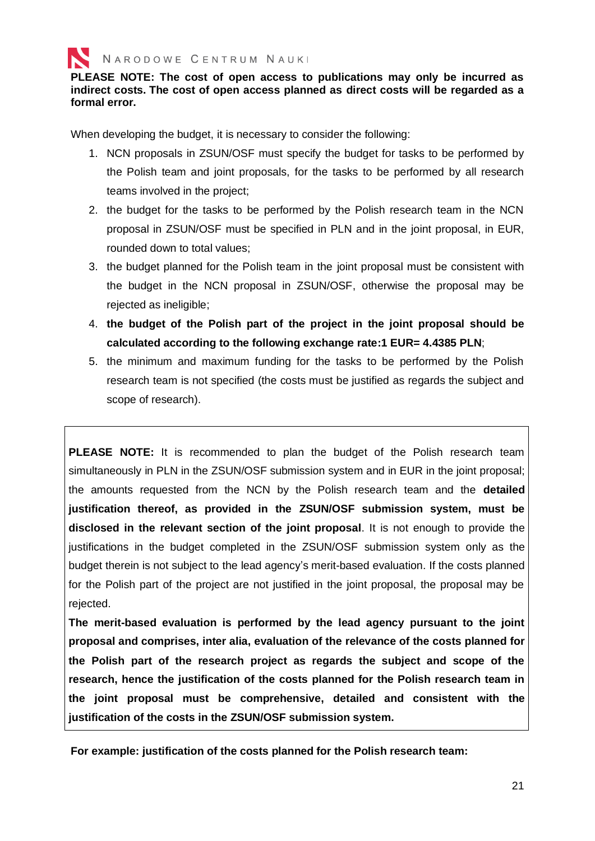**PLEASE NOTE: The cost of open access to publications may only be incurred as indirect costs. The cost of open access planned as direct costs will be regarded as a formal error.**

When developing the budget, it is necessary to consider the following:

- 1. NCN proposals in ZSUN/OSF must specify the budget for tasks to be performed by the Polish team and joint proposals, for the tasks to be performed by all research teams involved in the project;
- 2. the budget for the tasks to be performed by the Polish research team in the NCN proposal in ZSUN/OSF must be specified in PLN and in the [joint proposal,](http://www.snf.ch/SiteCollectionDocuments/Budgettable-Poland.xlsx) in EUR, rounded down to total values;
- 3. the budget planned for the Polish team in the [joint proposal](http://www.snf.ch/SiteCollectionDocuments/Budgettable-Poland.xlsx) must be consistent with the budget in the NCN proposal in ZSUN/OSF, otherwise the proposal may be rejected as ineligible;
- 4. **the budget of the Polish part of the project in the joint proposal should be calculated according to the following exchange rate:1 EUR= 4.4385 PLN**;
- 5. the minimum and maximum funding for the tasks to be performed by the Polish research team is not specified (the costs must be justified as regards the subject and scope of research).

**PLEASE NOTE:** It is recommended to plan the budget of the Polish research team simultaneously in PLN in the ZSUN/OSF submission system and in EUR in the joint proposal; the amounts requested from the NCN by the Polish research team and the **detailed justification thereof, as provided in the ZSUN/OSF submission system, must be disclosed in the relevant section of the joint proposal**. It is not enough to provide the justifications in the budget completed in the ZSUN/OSF submission system only as the budget therein is not subject to the lead agency's merit-based evaluation. If the costs planned for the Polish part of the project are not justified in the joint proposal, the proposal may be rejected.

**The merit-based evaluation is performed by the lead agency pursuant to the joint proposal and comprises, inter alia, evaluation of the relevance of the costs planned for the Polish part of the research project as regards the subject and scope of the research, hence the justification of the costs planned for the Polish research team in the joint proposal must be comprehensive, detailed and consistent with the justification of the costs in the ZSUN/OSF submission system.**

**For example: justification of the costs planned for the Polish research team:**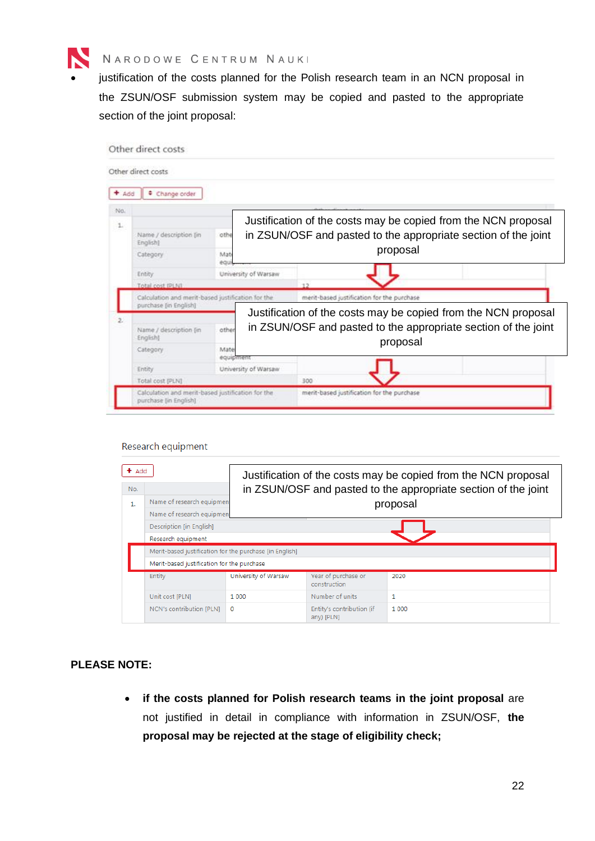

justification of the costs planned for the Polish research team in an NCN proposal in the ZSUN/OSF submission system may be copied and pasted to the appropriate section of the joint proposal:

|                | Other direct costs                                                         |                   |                                                                |                                                                |  |
|----------------|----------------------------------------------------------------------------|-------------------|----------------------------------------------------------------|----------------------------------------------------------------|--|
|                | Other direct costs                                                         |                   |                                                                |                                                                |  |
| $+$ Add        | ٠<br>Change order                                                          |                   |                                                                |                                                                |  |
| No.            |                                                                            |                   |                                                                |                                                                |  |
| 1.             |                                                                            |                   |                                                                | Justification of the costs may be copied from the NCN proposal |  |
|                | Name / description [in<br>English)                                         | othe              | in ZSUN/OSF and pasted to the appropriate section of the joint |                                                                |  |
|                | Category                                                                   | Mat<br>equi       | proposal                                                       |                                                                |  |
|                | Entity                                                                     |                   | University of Warsaw                                           |                                                                |  |
|                | Total cost IPLN1                                                           |                   |                                                                | 12                                                             |  |
|                | Calculation and merit-based justification for the<br>purchase (in English) |                   |                                                                | ment-based justification for the purchase                      |  |
| $\mathfrak{p}$ |                                                                            |                   |                                                                | Justification of the costs may be copied from the NCN proposal |  |
|                | Name / description (in<br>Englisht                                         | other             |                                                                | in ZSUN/OSF and pasted to the appropriate section of the joint |  |
|                | Category                                                                   | Mate<br>equipment |                                                                | proposal                                                       |  |
|                | Entity                                                                     |                   | University of Warsaw                                           |                                                                |  |
|                | Total cost (PLN)                                                           |                   |                                                                | 300                                                            |  |
|                | Calculation and merit-based justification for the<br>purchase [in English] |                   |                                                                | merit-based justification for the purchase                     |  |

Research equipment

| Add |                                                         |                      | Justification of the costs may be copied from the NCN proposal |         |  |  |  |  |
|-----|---------------------------------------------------------|----------------------|----------------------------------------------------------------|---------|--|--|--|--|
| No. |                                                         |                      | in ZSUN/OSF and pasted to the appropriate section of the joint |         |  |  |  |  |
| 1.  | Name of research equipment                              |                      | proposal                                                       |         |  |  |  |  |
|     | Name of research equipment                              |                      |                                                                |         |  |  |  |  |
|     | Description [in English]                                |                      |                                                                |         |  |  |  |  |
|     | Research equipment                                      |                      |                                                                |         |  |  |  |  |
|     | Merit-based justification for the purchase [in English] |                      |                                                                |         |  |  |  |  |
|     | Merit-based justification for the purchase              |                      |                                                                |         |  |  |  |  |
|     | Entity                                                  | University of Warsaw | Year of purchase or<br>construction                            | 2020    |  |  |  |  |
|     | Unit cost [PLN]                                         | 1 0 0 0              | Number of units                                                | 1       |  |  |  |  |
|     | NCN's contribution [PLN]                                | $\circ$              | Entity's contribution (if<br>any) [PLN]                        | 1 0 0 0 |  |  |  |  |

#### **PLEASE NOTE:**

• **if the costs planned for Polish research teams in the joint proposal** are not justified in detail in compliance with information in ZSUN/OSF, **the proposal may be rejected at the stage of eligibility check;**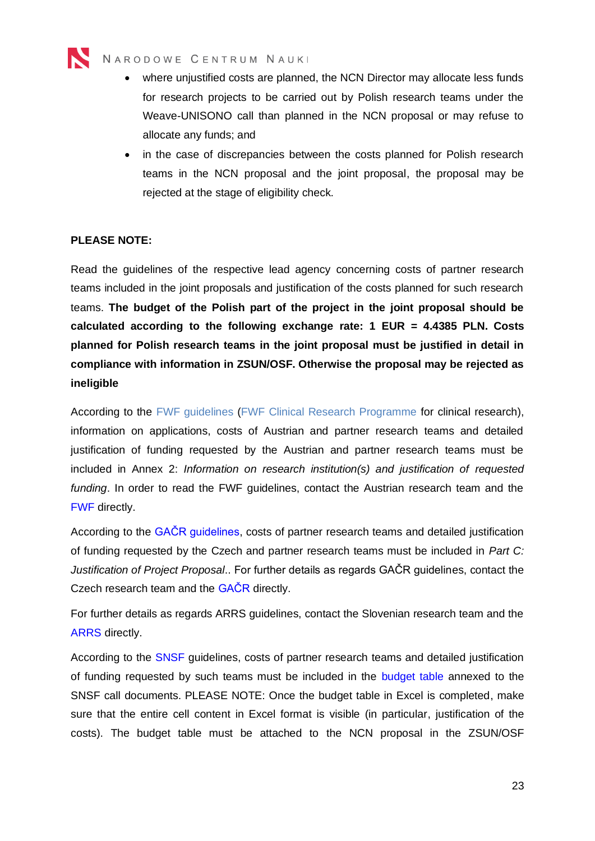

- where unjustified costs are planned, the NCN Director may allocate less funds for research projects to be carried out by Polish research teams under the Weave-UNISONO call than planned in the NCN proposal or may refuse to allocate any funds; and
- in the case of discrepancies between the costs planned for Polish research teams in the NCN proposal and the joint proposal, the proposal may be rejected at the stage of eligibility check.

#### **PLEASE NOTE:**

Read the guidelines of the respective lead agency concerning costs of partner research teams included in the joint proposals and justification of the costs planned for such research teams. **The budget of the Polish part of the project in the joint proposal should be calculated according to the following exchange rate: 1 EUR = 4.4385 PLN. Costs planned for Polish research teams in the joint proposal must be justified in detail in compliance with information in ZSUN/OSF. Otherwise the proposal may be rejected as ineligible**

According to the [FWF](https://www.fwf.ac.at/fileadmin/files/Dokumente/Antragstellung/Einzelprojekte/p_application-guidelines.pdf) guidelines (FWF [Clinical Research Programme](https://www.fwf.ac.at/fileadmin/files/Dokumente/Antragstellung/KLIF/klif_application-guidelines.pdf) for clinical research), information on applications, costs of Austrian and partner research teams and detailed justification of funding requested by the Austrian and partner research teams must be included in Annex 2: *Information on research institution(s) and justification of requested funding*. In order to read the FWF guidelines, contact the Austrian research team and the [FWF](#page-38-2) directly.

According to the [GAČR guidelines,](https://gacr.cz/vyzva-pro-podavani-projektu-na-principu-hodnoceni-lead-agency-3/) costs of partner research teams and detailed justification of funding requested by the Czech and partner research teams must be included in *Part C: Justification of Project Proposal*.. For further details as regards GAČR guidelines, contact the Czech research team and the [GAČR](#page-38-2) directly.

For further details as regards ARRS guidelines, contact the Slovenian research team and the [ARRS](#page-38-2) directly.

According to the [SNSF](http://www.snf.ch/en/funding/projects/projects-in-all-disciplines/Pages/default.aspx) guidelines, costs of partner research teams and detailed justification of funding requested by such teams must be included in the [budget table](http://www.snf.ch/SiteCollectionDocuments/Budgettable-Weave.xlsx) annexed to the SNSF call documents. PLEASE NOTE: Once the budget table in Excel is completed, make sure that the entire cell content in Excel format is visible (in particular, justification of the costs). The budget table must be attached to the NCN proposal in the ZSUN/OSF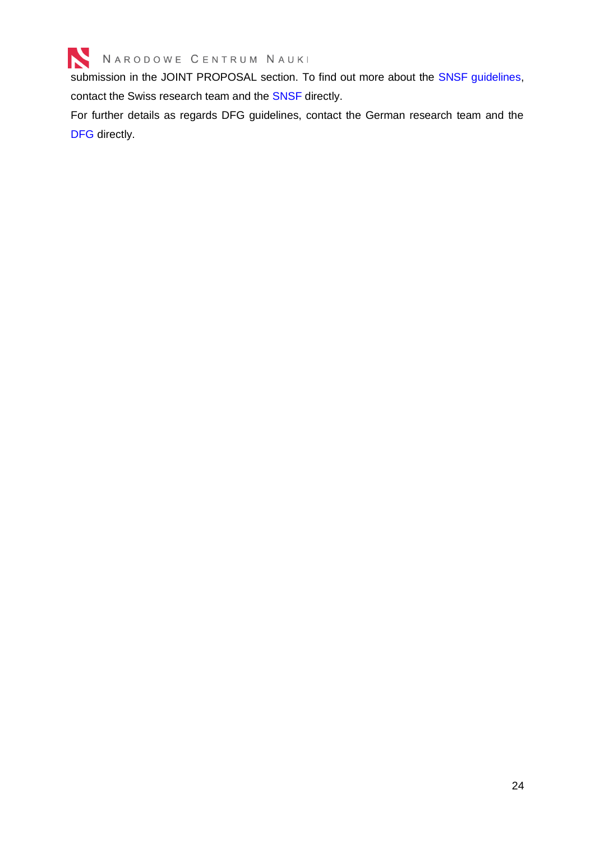

submission in the JOINT PROPOSAL section. To find out more about the [SNSF guidelines,](http://www.snf.ch/en/funding/projects/weave-lead-agency/weave/Pages/default.aspx) contact the Swiss research team and the [SNSF](#page-38-2) directly.

For further details as regards DFG guidelines, contact the German research team and the [DFG](#page-38-2) directly.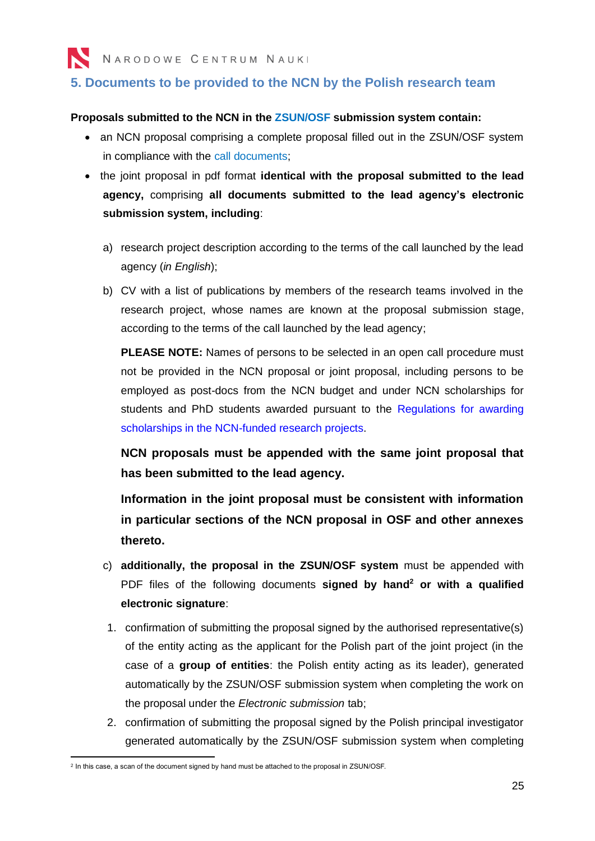## <span id="page-24-0"></span>**5. Documents to be provided to the NCN by the Polish research team**

#### **Proposals submitted to the NCN in the [ZSUN/OSF s](https://osf.opi.org.pl/app/adm/start.do?changeLang=en)ubmission system contain:**

- an NCN proposal comprising a complete proposal filled out in the ZSUN/OSF system in compliance with the [call documents;](https://www.ncn.gov.pl/ogloszenia/konkursy/weave-unisono?language=en)
- the joint proposal in pdf format **identical with the proposal submitted to the lead agency,** comprising **all documents submitted to the lead agency's electronic submission system, including**:
	- a) research project description according to the terms of the call launched by the lead agency (*in English*);
	- b) CV with a list of publications by members of the research teams involved in the research project, whose names are known at the proposal submission stage, according to the terms of the call launched by the lead agency;

**PLEASE NOTE:** Names of persons to be selected in an open call procedure must not be provided in the NCN proposal or joint proposal, including persons to be employed as post-docs from the NCN budget and under NCN scholarships for students and PhD students awarded pursuant to the Regulations for awarding [scholarships in the NCN-funded research projects.](https://www.ncn.gov.pl/sites/default/files/pliki/uchwaly-rady/2019/uchwala25_2019-zal1_ang.pdf)

**NCN proposals must be appended with the same joint proposal that has been submitted to the lead agency.**

**Information in the joint proposal must be consistent with information in particular sections of the NCN proposal in OSF and other annexes thereto.** 

- c) **additionally, the proposal in the ZSUN/OSF system** must be appended with PDF files of the following documents **signed by hand<sup>2</sup> or with a qualified electronic signature**:
- 1. confirmation of submitting the proposal signed by the authorised representative(s) of the entity acting as the applicant for the Polish part of the joint project (in the case of a **group of entities**: the Polish entity acting as its leader), generated automatically by the ZSUN/OSF submission system when completing the work on the proposal under the *Electronic submission* tab;
- 2. confirmation of submitting the proposal signed by the Polish principal investigator generated automatically by the ZSUN/OSF submission system when completing

<sup>2</sup> In this case, a scan of the document signed by hand must be attached to the proposal in ZSUN/OSF.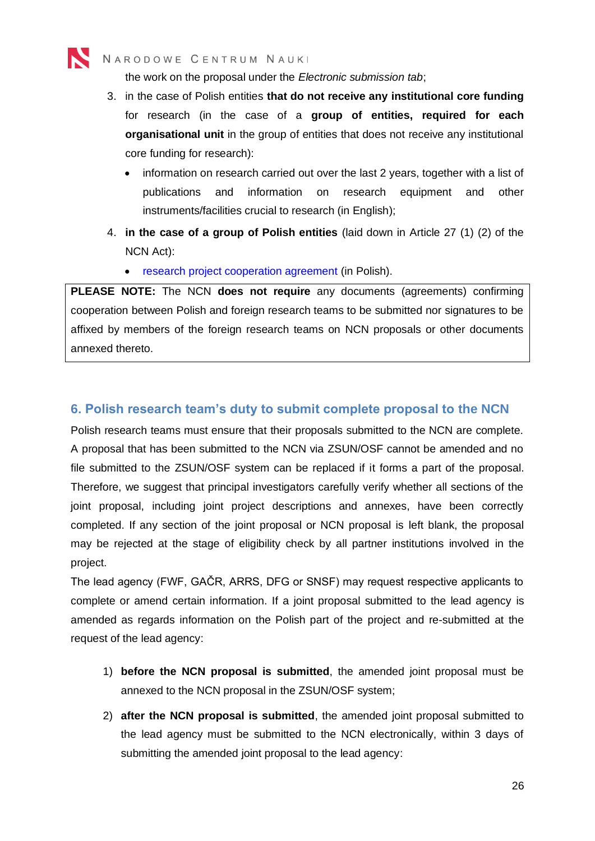the work on the proposal under the *Electronic submission tab*;

- 3. in the case of Polish entities **that do not receive any institutional core funding** for research (in the case of a **group of entities, required for each organisational unit** in the group of entities that does not receive any institutional core funding for research):
	- information on research carried out over the last 2 years, together with a list of publications and information on research equipment and other instruments/facilities crucial to research (in English);
- 4. **in the case of a group of Polish entities** (laid down in Article 27 (1) (2) of the NCN Act):
	- [research project cooperation agreement](https://www.ncn.gov.pl/sites/default/files/pliki/regulaminy/porozumienie_o_wspolpracy_na_rzecz_realizacji_projektu_badawczego.docx) (in Polish).

**PLEASE NOTE:** The NCN **does not require** any documents (agreements) confirming cooperation between Polish and foreign research teams to be submitted nor signatures to be affixed by members of the foreign research teams on NCN proposals or other documents annexed thereto.

## <span id="page-25-0"></span>**6. Polish research team's duty to submit complete proposal to the NCN**

Polish research teams must ensure that their proposals submitted to the NCN are complete. A proposal that has been submitted to the NCN via ZSUN/OSF cannot be amended and no file submitted to the ZSUN/OSF system can be replaced if it forms a part of the proposal. Therefore, we suggest that principal investigators carefully verify whether all sections of the joint proposal, including joint project descriptions and annexes, have been correctly completed. If any section of the joint proposal or NCN proposal is left blank, the proposal may be rejected at the stage of eligibility check by all partner institutions involved in the project.

The lead agency (FWF, GAČR, ARRS, DFG or SNSF) may request respective applicants to complete or amend certain information. If a joint proposal submitted to the lead agency is amended as regards information on the Polish part of the project and re-submitted at the request of the lead agency:

- 1) **before the NCN proposal is submitted**, the amended joint proposal must be annexed to the NCN proposal in the ZSUN/OSF system;
- 2) **after the NCN proposal is submitted**, the amended joint proposal submitted to the lead agency must be submitted to the NCN electronically, within 3 days of submitting the amended joint proposal to the lead agency: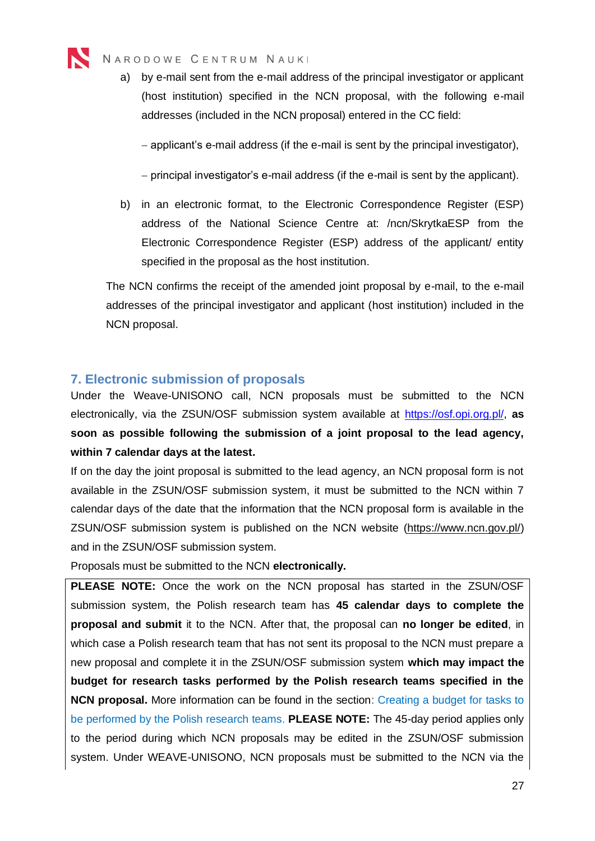

a) by e-mail sent from the e-mail address of the principal investigator or applicant (host institution) specified in the NCN proposal, with the following e-mail addresses (included in the NCN proposal) entered in the CC field:

− applicant's e-mail address (if the e-mail is sent by the principal investigator),

− principal investigator's e-mail address (if the e-mail is sent by the applicant).

b) in an electronic format, to the Electronic Correspondence Register (ESP) address of the National Science Centre at: /ncn/SkrytkaESP from the Electronic Correspondence Register (ESP) address of the applicant/ entity specified in the proposal as the host institution.

The NCN confirms the receipt of the amended joint proposal by e-mail, to the e-mail addresses of the principal investigator and applicant (host institution) included in the NCN proposal.

### <span id="page-26-0"></span>**7. Electronic submission of proposals**

Under the Weave-UNISONO call, NCN proposals must be submitted to the NCN electronically, via the ZSUN/OSF submission system available at [https://osf.opi.org.pl/,](https://osf.opi.org.pl/) **as soon as possible following the submission of a joint proposal to the lead agency, within 7 calendar days at the latest.** 

If on the day the joint proposal is submitted to the lead agency, an NCN proposal form is not available in the ZSUN/OSF submission system, it must be submitted to the NCN within 7 calendar days of the date that the information that the NCN proposal form is available in the ZSUN/OSF submission system is published on the NCN website [\(https://www.ncn.gov.pl/\)](https://www.ncn.gov.pl/) and in the ZSUN/OSF submission system.

Proposals must be submitted to the NCN **electronically.**

**PLEASE NOTE:** Once the work on the NCN proposal has started in the ZSUN/OSF submission system, the Polish research team has **45 calendar days to complete the proposal and submit** it to the NCN. After that, the proposal can **no longer be edited**, in which case a Polish research team that has not sent its proposal to the NCN must prepare a new proposal and complete it in the ZSUN/OSF submission system **which may impact the budget for research tasks performed by the Polish research teams specified in the NCN proposal.** More information can be found in the section: Creating a budget for tasks to be performed by the Polish research teams. **PLEASE NOTE:** The 45-day period applies only to the period during which NCN proposals may be edited in the ZSUN/OSF submission system. Under WEAVE-UNISONO, NCN proposals must be submitted to the NCN via the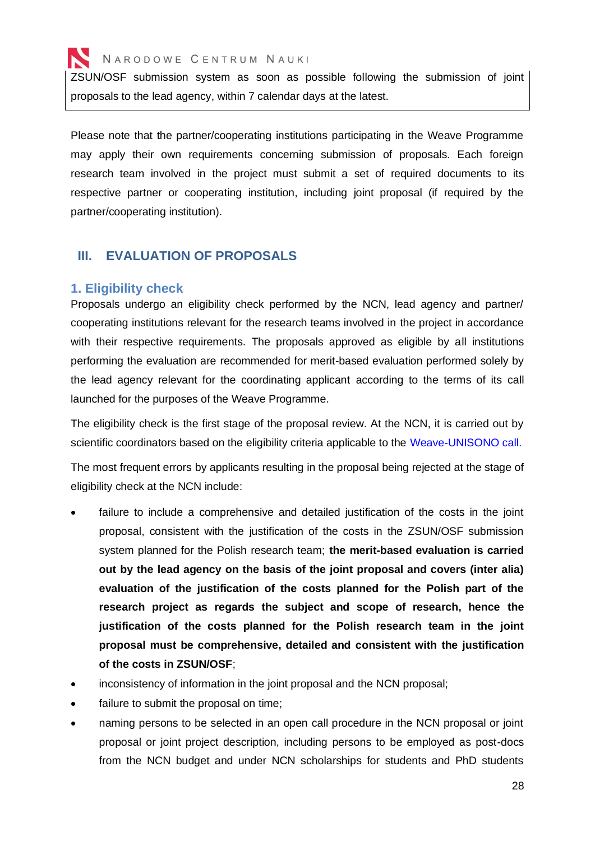ZSUN/OSF submission system as soon as possible following the submission of joint proposals to the lead agency, within 7 calendar days at the latest.

Please note that the partner/cooperating institutions participating in the Weave Programme may apply their own requirements concerning submission of proposals. Each foreign research team involved in the project must submit a set of required documents to its respective partner or cooperating institution, including joint proposal (if required by the partner/cooperating institution).

### <span id="page-27-0"></span>**III. EVALUATION OF PROPOSALS**

#### <span id="page-27-1"></span>**1. Eligibility check**

Proposals undergo an eligibility check performed by the NCN, lead agency and partner/ cooperating institutions relevant for the research teams involved in the project in accordance with their respective requirements. The proposals approved as eligible by all institutions performing the evaluation are recommended for merit-based evaluation performed solely by the lead agency relevant for the coordinating applicant according to the terms of its call launched for the purposes of the Weave Programme.

The eligibility check is the first stage of the proposal review. At the NCN, it is carried out by scientific coordinators based on the eligibility criteria applicable to the [Weave-UNISONO](https://www.ncn.gov.pl/ogloszenia/konkursy/weave-unisono?language=en) call.

The most frequent errors by applicants resulting in the proposal being rejected at the stage of eligibility check at the NCN include:

- failure to include a comprehensive and detailed justification of the costs in the joint proposal, consistent with the justification of the costs in the ZSUN/OSF submission system planned for the Polish research team; **the merit-based evaluation is carried out by the lead agency on the basis of the joint proposal and covers (inter alia) evaluation of the justification of the costs planned for the Polish part of the research project as regards the subject and scope of research, hence the justification of the costs planned for the Polish research team in the joint proposal must be comprehensive, detailed and consistent with the justification of the costs in ZSUN/OSF**;
- inconsistency of information in the joint proposal and the NCN proposal;
- failure to submit the proposal on time;
- naming persons to be selected in an open call procedure in the NCN proposal or joint proposal or joint project description, including persons to be employed as post-docs from the NCN budget and under NCN scholarships for students and PhD students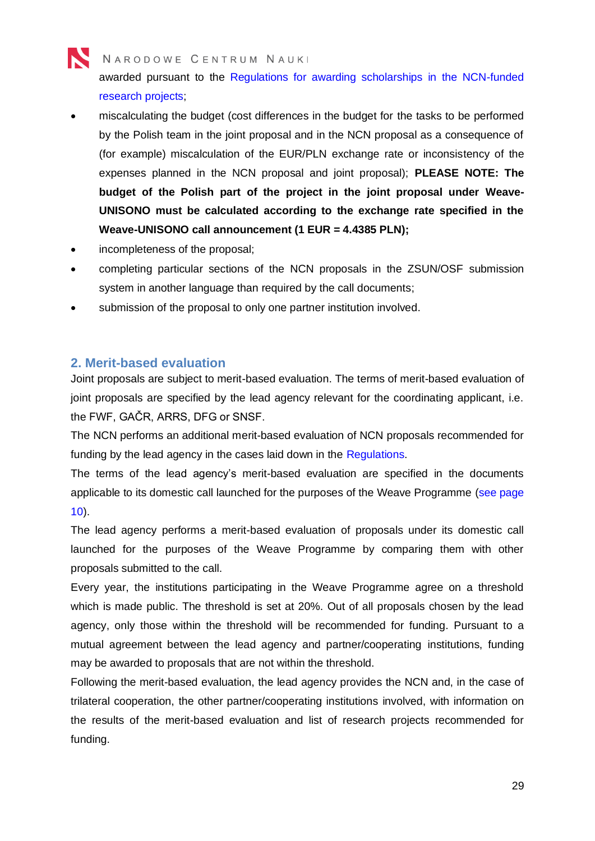awarded pursuant to the [Regulations for awarding scholarships in the NCN-funded](https://www.ncn.gov.pl/sites/default/files/pliki/uchwaly-rady/2019/uchwala25_2019-zal1_ang.pdf)  [research projects;](https://www.ncn.gov.pl/sites/default/files/pliki/uchwaly-rady/2019/uchwala25_2019-zal1_ang.pdf)

- miscalculating the budget (cost differences in the budget for the tasks to be performed by the Polish team in the joint proposal and in the NCN proposal as a consequence of (for example) miscalculation of the EUR/PLN exchange rate or inconsistency of the expenses planned in the NCN proposal and joint proposal); **PLEASE NOTE: The budget of the Polish part of the project in the joint proposal under Weave-UNISONO must be calculated according to the exchange rate specified in the Weave-UNISONO call announcement (1 EUR = 4.4385 PLN);**
- incompleteness of the proposal;
- completing particular sections of the NCN proposals in the ZSUN/OSF submission system in another language than required by the call documents;
- submission of the proposal to only one partner institution involved.

## <span id="page-28-0"></span>**2. Merit-based evaluation**

Joint proposals are subject to merit-based evaluation. The terms of merit-based evaluation of joint proposals are specified by the lead agency relevant for the coordinating applicant, i.e. the FWF, GAČR, ARRS, DFG or SNSF.

The NCN performs an additional merit-based evaluation of NCN proposals recommended for funding by the lead agency in the cases laid down in the [Regulations.](https://www.ncn.gov.pl/sites/default/files/pliki/uchwaly-rady/2020/uchwala133_2020-zal1_ang.pdf)

The terms of the lead agency's merit-based evaluation are specified in the documents applicable to its domestic call launched for the purposes of the Weave Programme (see page 10).

The lead agency performs a merit-based evaluation of proposals under its domestic call launched for the purposes of the Weave Programme by comparing them with other proposals submitted to the call.

Every year, the institutions participating in the Weave Programme agree on a threshold which is made public. The threshold is set at 20%. Out of all proposals chosen by the lead agency, only those within the threshold will be recommended for funding. Pursuant to a mutual agreement between the lead agency and partner/cooperating institutions, funding may be awarded to proposals that are not within the threshold.

Following the merit-based evaluation, the lead agency provides the NCN and, in the case of trilateral cooperation, the other partner/cooperating institutions involved, with information on the results of the merit-based evaluation and list of research projects recommended for funding.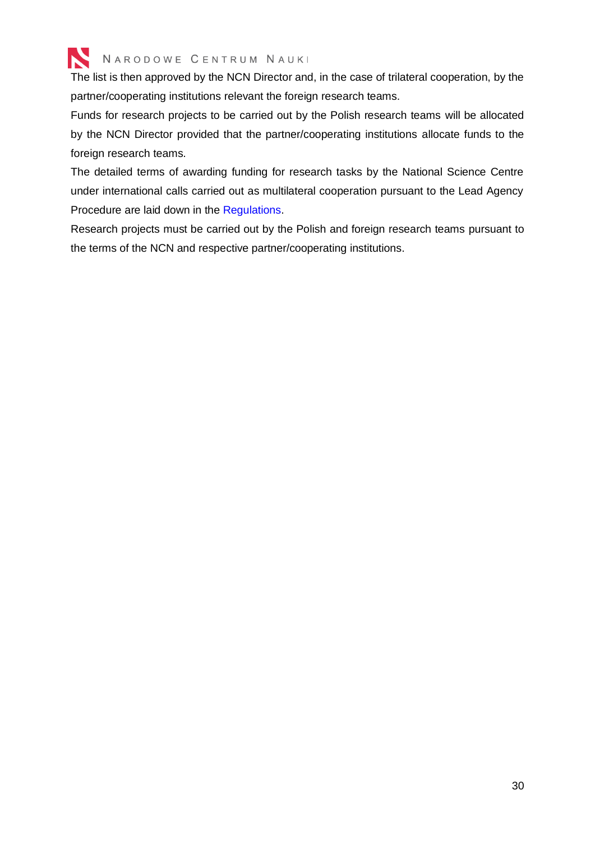

The list is then approved by the NCN Director and, in the case of trilateral cooperation, by the partner/cooperating institutions relevant the foreign research teams.

Funds for research projects to be carried out by the Polish research teams will be allocated by the NCN Director provided that the partner/cooperating institutions allocate funds to the foreign research teams.

The detailed terms of awarding funding for research tasks by the National Science Centre under international calls carried out as multilateral cooperation pursuant to the Lead Agency Procedure are laid down in the [Regulations.](https://www.ncn.gov.pl/sites/default/files/pliki/uchwaly-rady/2020/uchwala133_2020-zal1_ang.pdf)

Research projects must be carried out by the Polish and foreign research teams pursuant to the terms of the NCN and respective partner/cooperating institutions.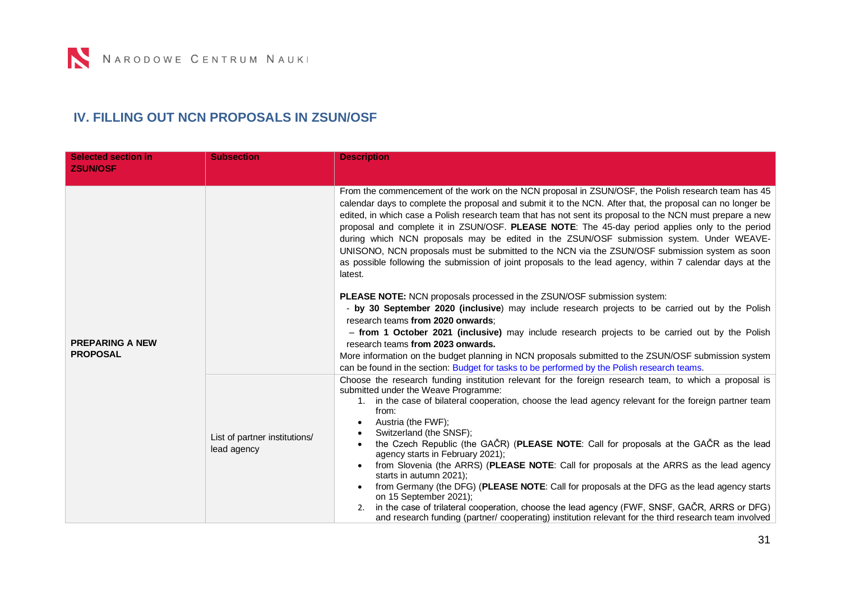# **IV. FILLING OUT NCN PROPOSALS IN ZSUN/OSF**

<span id="page-30-0"></span>

| <b>Selected section in</b><br><b>ZSUN/OSF</b> | <b>Subsection</b>                            | <b>Description</b>                                                                                                                                                                                                                                                                                                                                                                                                                                                                                                                                                                                                                                                                                                                                                                                                                                                                                    |
|-----------------------------------------------|----------------------------------------------|-------------------------------------------------------------------------------------------------------------------------------------------------------------------------------------------------------------------------------------------------------------------------------------------------------------------------------------------------------------------------------------------------------------------------------------------------------------------------------------------------------------------------------------------------------------------------------------------------------------------------------------------------------------------------------------------------------------------------------------------------------------------------------------------------------------------------------------------------------------------------------------------------------|
|                                               |                                              | From the commencement of the work on the NCN proposal in ZSUN/OSF, the Polish research team has 45<br>calendar days to complete the proposal and submit it to the NCN. After that, the proposal can no longer be<br>edited, in which case a Polish research team that has not sent its proposal to the NCN must prepare a new<br>proposal and complete it in ZSUN/OSF. PLEASE NOTE: The 45-day period applies only to the period<br>during which NCN proposals may be edited in the ZSUN/OSF submission system. Under WEAVE-<br>UNISONO, NCN proposals must be submitted to the NCN via the ZSUN/OSF submission system as soon<br>as possible following the submission of joint proposals to the lead agency, within 7 calendar days at the<br>latest.                                                                                                                                                |
|                                               |                                              | PLEASE NOTE: NCN proposals processed in the ZSUN/OSF submission system:<br>- by 30 September 2020 (inclusive) may include research projects to be carried out by the Polish<br>research teams from 2020 onwards:<br>- from 1 October 2021 (inclusive) may include research projects to be carried out by the Polish                                                                                                                                                                                                                                                                                                                                                                                                                                                                                                                                                                                   |
| <b>PREPARING A NEW</b><br><b>PROPOSAL</b>     |                                              | research teams from 2023 onwards.<br>More information on the budget planning in NCN proposals submitted to the ZSUN/OSF submission system<br>can be found in the section: Budget for tasks to be performed by the Polish research teams.                                                                                                                                                                                                                                                                                                                                                                                                                                                                                                                                                                                                                                                              |
|                                               | List of partner institutions/<br>lead agency | Choose the research funding institution relevant for the foreign research team, to which a proposal is<br>submitted under the Weave Programme:<br>in the case of bilateral cooperation, choose the lead agency relevant for the foreign partner team<br>from:<br>Austria (the FWF);<br>Switzerland (the SNSF);<br>the Czech Republic (the GAČR) (PLEASE NOTE: Call for proposals at the GAČR as the lead<br>agency starts in February 2021);<br>from Slovenia (the ARRS) (PLEASE NOTE: Call for proposals at the ARRS as the lead agency<br>starts in autumn 2021);<br>from Germany (the DFG) (PLEASE NOTE: Call for proposals at the DFG as the lead agency starts<br>on 15 September 2021);<br>in the case of trilateral cooperation, choose the lead agency (FWF, SNSF, GAČR, ARRS or DFG)<br>and research funding (partner/cooperating) institution relevant for the third research team involved |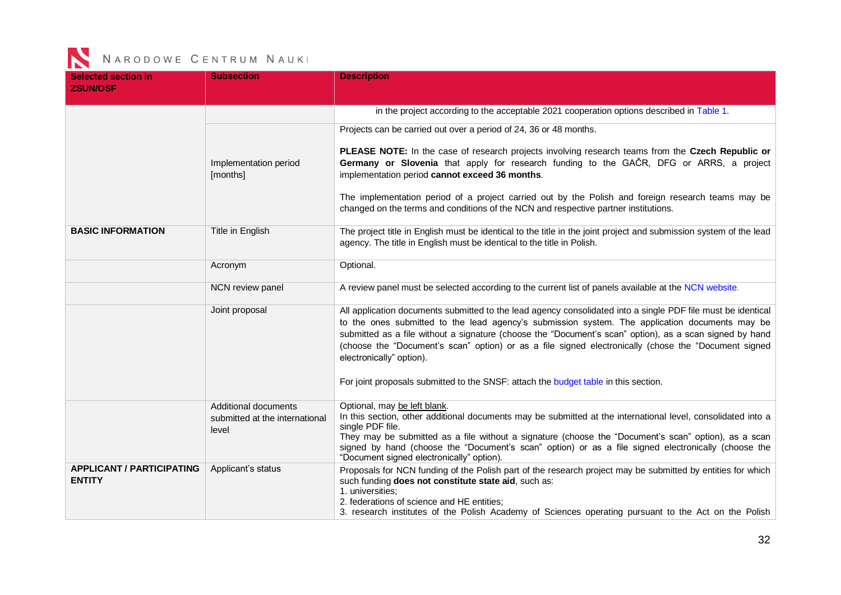| <b>Selected section in</b><br><b>ZSUN/OSF</b>     | <b>Subsection</b>                                               | <b>Description</b>                                                                                                                                                                                                                                                                                                                                                                                                                                                                                                                                   |
|---------------------------------------------------|-----------------------------------------------------------------|------------------------------------------------------------------------------------------------------------------------------------------------------------------------------------------------------------------------------------------------------------------------------------------------------------------------------------------------------------------------------------------------------------------------------------------------------------------------------------------------------------------------------------------------------|
|                                                   |                                                                 | in the project according to the acceptable 2021 cooperation options described in Table 1.                                                                                                                                                                                                                                                                                                                                                                                                                                                            |
|                                                   | Implementation period<br>[months]                               | Projects can be carried out over a period of 24, 36 or 48 months.<br>PLEASE NOTE: In the case of research projects involving research teams from the Czech Republic or<br>Germany or Slovenia that apply for research funding to the GAČR, DFG or ARRS, a project<br>implementation period cannot exceed 36 months.<br>The implementation period of a project carried out by the Polish and foreign research teams may be<br>changed on the terms and conditions of the NCN and respective partner institutions.                                     |
| <b>BASIC INFORMATION</b>                          | Title in English                                                | The project title in English must be identical to the title in the joint project and submission system of the lead<br>agency. The title in English must be identical to the title in Polish.                                                                                                                                                                                                                                                                                                                                                         |
|                                                   | Acronym                                                         | Optional.                                                                                                                                                                                                                                                                                                                                                                                                                                                                                                                                            |
|                                                   | NCN review panel                                                | A review panel must be selected according to the current list of panels available at the NCN website.                                                                                                                                                                                                                                                                                                                                                                                                                                                |
|                                                   | Joint proposal                                                  | All application documents submitted to the lead agency consolidated into a single PDF file must be identical<br>to the ones submitted to the lead agency's submission system. The application documents may be<br>submitted as a file without a signature (choose the "Document's scan" option), as a scan signed by hand<br>(choose the "Document's scan" option) or as a file signed electronically (chose the "Document signed<br>electronically" option).<br>For joint proposals submitted to the SNSF: attach the budget table in this section. |
|                                                   | Additional documents<br>submitted at the international<br>level | Optional, may be left blank.<br>In this section, other additional documents may be submitted at the international level, consolidated into a<br>single PDF file.<br>They may be submitted as a file without a signature (choose the "Document's scan" option), as a scan                                                                                                                                                                                                                                                                             |
|                                                   |                                                                 | signed by hand (choose the "Document's scan" option) or as a file signed electronically (choose the<br>"Document signed electronically" option).                                                                                                                                                                                                                                                                                                                                                                                                     |
| <b>APPLICANT / PARTICIPATING</b><br><b>ENTITY</b> | Applicant's status                                              | Proposals for NCN funding of the Polish part of the research project may be submitted by entities for which<br>such funding does not constitute state aid, such as:<br>1. universities;<br>2. federations of science and HE entities;<br>3. research institutes of the Polish Academy of Sciences operating pursuant to the Act on the Polish                                                                                                                                                                                                        |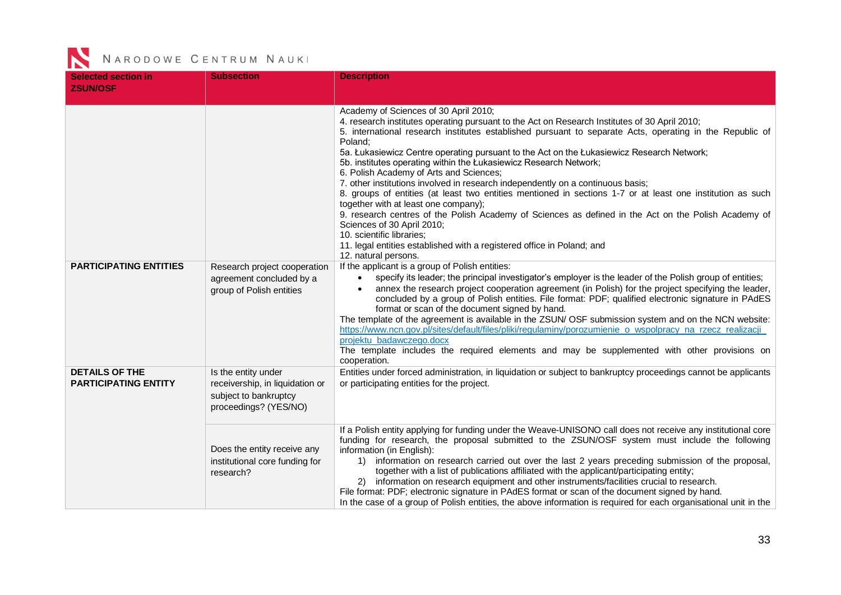| <b>Selected section in</b><br><b>ZSUN/OSF</b>        | <b>Subsection</b>                                                                                        | <b>Description</b>                                                                                                                                                                                                                                                                                                                                                                                                                                                                                                                                                                                                                                                                                                                                                                                                                                                                                                                                                                       |
|------------------------------------------------------|----------------------------------------------------------------------------------------------------------|------------------------------------------------------------------------------------------------------------------------------------------------------------------------------------------------------------------------------------------------------------------------------------------------------------------------------------------------------------------------------------------------------------------------------------------------------------------------------------------------------------------------------------------------------------------------------------------------------------------------------------------------------------------------------------------------------------------------------------------------------------------------------------------------------------------------------------------------------------------------------------------------------------------------------------------------------------------------------------------|
|                                                      |                                                                                                          | Academy of Sciences of 30 April 2010;<br>4. research institutes operating pursuant to the Act on Research Institutes of 30 April 2010;<br>5. international research institutes established pursuant to separate Acts, operating in the Republic of<br>Poland;<br>5a. Łukasiewicz Centre operating pursuant to the Act on the Łukasiewicz Research Network;<br>5b. institutes operating within the Łukasiewicz Research Network;<br>6. Polish Academy of Arts and Sciences;<br>7. other institutions involved in research independently on a continuous basis;<br>8. groups of entities (at least two entities mentioned in sections 1-7 or at least one institution as such<br>together with at least one company);<br>9. research centres of the Polish Academy of Sciences as defined in the Act on the Polish Academy of<br>Sciences of 30 April 2010;<br>10. scientific libraries:<br>11. legal entities established with a registered office in Poland; and<br>12. natural persons. |
| <b>PARTICIPATING ENTITIES</b>                        | Research project cooperation<br>agreement concluded by a<br>group of Polish entities                     | If the applicant is a group of Polish entities:<br>specify its leader; the principal investigator's employer is the leader of the Polish group of entities;<br>annex the research project cooperation agreement (in Polish) for the project specifying the leader,<br>concluded by a group of Polish entities. File format: PDF; qualified electronic signature in PAdES<br>format or scan of the document signed by hand.<br>The template of the agreement is available in the ZSUN/ OSF submission system and on the NCN website:<br>https://www.ncn.gov.pl/sites/default/files/pliki/regulaminy/porozumienie o wspolpracy na rzecz realizacji<br>projektu badawczego.docx<br>The template includes the required elements and may be supplemented with other provisions on<br>cooperation.                                                                                                                                                                                             |
| <b>DETAILS OF THE</b><br><b>PARTICIPATING ENTITY</b> | Is the entity under<br>receivership, in liquidation or<br>subject to bankruptcy<br>proceedings? (YES/NO) | Entities under forced administration, in liquidation or subject to bankruptcy proceedings cannot be applicants<br>or participating entities for the project.                                                                                                                                                                                                                                                                                                                                                                                                                                                                                                                                                                                                                                                                                                                                                                                                                             |
|                                                      | Does the entity receive any<br>institutional core funding for<br>research?                               | If a Polish entity applying for funding under the Weave-UNISONO call does not receive any institutional core<br>funding for research, the proposal submitted to the ZSUN/OSF system must include the following<br>information (in English):<br>1) information on research carried out over the last 2 years preceding submission of the proposal,<br>together with a list of publications affiliated with the applicant/participating entity;<br>2) information on research equipment and other instruments/facilities crucial to research.<br>File format: PDF; electronic signature in PAdES format or scan of the document signed by hand.<br>In the case of a group of Polish entities, the above information is required for each organisational unit in the                                                                                                                                                                                                                        |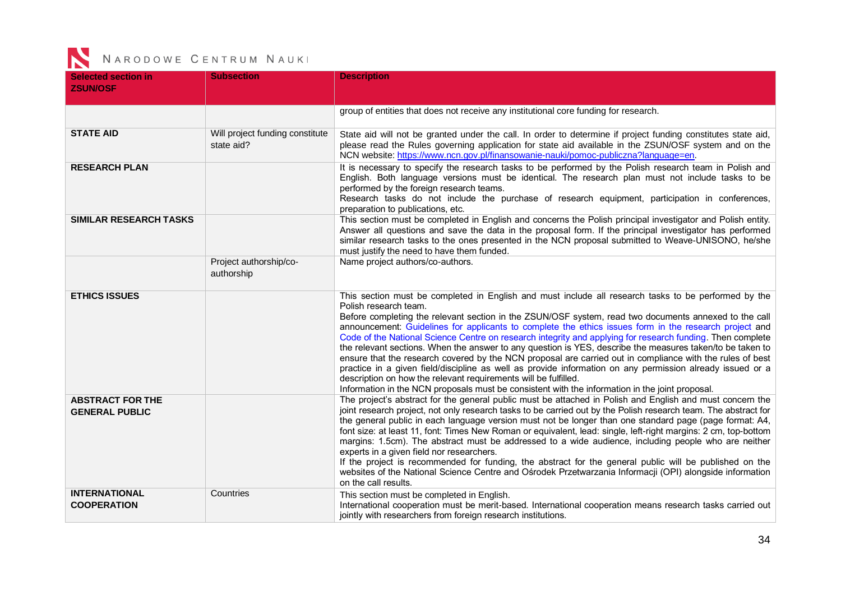| <b>Selected section in</b><br><b>ZSUN/OSF</b>    | <b>Subsection</b>                             | <b>Description</b>                                                                                                                                                                                                                                                                                                                                                                                                                                                                                                                                                                                                                                                                                                                                                                                                                                                                                                                                                          |
|--------------------------------------------------|-----------------------------------------------|-----------------------------------------------------------------------------------------------------------------------------------------------------------------------------------------------------------------------------------------------------------------------------------------------------------------------------------------------------------------------------------------------------------------------------------------------------------------------------------------------------------------------------------------------------------------------------------------------------------------------------------------------------------------------------------------------------------------------------------------------------------------------------------------------------------------------------------------------------------------------------------------------------------------------------------------------------------------------------|
|                                                  |                                               | group of entities that does not receive any institutional core funding for research.                                                                                                                                                                                                                                                                                                                                                                                                                                                                                                                                                                                                                                                                                                                                                                                                                                                                                        |
| <b>STATE AID</b>                                 | Will project funding constitute<br>state aid? | State aid will not be granted under the call. In order to determine if project funding constitutes state aid,<br>please read the Rules governing application for state aid available in the ZSUN/OSF system and on the<br>NCN website: https://www.ncn.gov.pl/finansowanie-nauki/pomoc-publiczna?language=en.                                                                                                                                                                                                                                                                                                                                                                                                                                                                                                                                                                                                                                                               |
| <b>RESEARCH PLAN</b>                             |                                               | It is necessary to specify the research tasks to be performed by the Polish research team in Polish and<br>English. Both language versions must be identical. The research plan must not include tasks to be<br>performed by the foreign research teams.<br>Research tasks do not include the purchase of research equipment, participation in conferences,<br>preparation to publications, etc.                                                                                                                                                                                                                                                                                                                                                                                                                                                                                                                                                                            |
| <b>SIMILAR RESEARCH TASKS</b>                    |                                               | This section must be completed in English and concerns the Polish principal investigator and Polish entity.<br>Answer all questions and save the data in the proposal form. If the principal investigator has performed<br>similar research tasks to the ones presented in the NCN proposal submitted to Weave-UNISONO, he/she<br>must justify the need to have them funded.                                                                                                                                                                                                                                                                                                                                                                                                                                                                                                                                                                                                |
|                                                  | Project authorship/co-<br>authorship          | Name project authors/co-authors.                                                                                                                                                                                                                                                                                                                                                                                                                                                                                                                                                                                                                                                                                                                                                                                                                                                                                                                                            |
| <b>ETHICS ISSUES</b>                             |                                               | This section must be completed in English and must include all research tasks to be performed by the<br>Polish research team.<br>Before completing the relevant section in the ZSUN/OSF system, read two documents annexed to the call<br>announcement: Guidelines for applicants to complete the ethics issues form in the research project and<br>Code of the National Science Centre on research integrity and applying for research funding. Then complete<br>the relevant sections. When the answer to any question is YES, describe the measures taken/to be taken to<br>ensure that the research covered by the NCN proposal are carried out in compliance with the rules of best<br>practice in a given field/discipline as well as provide information on any permission already issued or a<br>description on how the relevant requirements will be fulfilled.<br>Information in the NCN proposals must be consistent with the information in the joint proposal. |
| <b>ABSTRACT FOR THE</b><br><b>GENERAL PUBLIC</b> |                                               | The project's abstract for the general public must be attached in Polish and English and must concern the<br>joint research project, not only research tasks to be carried out by the Polish research team. The abstract for<br>the general public in each language version must not be longer than one standard page (page format: A4,<br>font size: at least 11, font: Times New Roman or equivalent, lead: single, left-right margins: 2 cm, top-bottom<br>margins: 1.5cm). The abstract must be addressed to a wide audience, including people who are neither<br>experts in a given field nor researchers.<br>If the project is recommended for funding, the abstract for the general public will be published on the<br>websites of the National Science Centre and Ośrodek Przetwarzania Informacji (OPI) alongside information<br>on the call results.                                                                                                              |
| <b>INTERNATIONAL</b><br><b>COOPERATION</b>       | Countries                                     | This section must be completed in English.<br>International cooperation must be merit-based. International cooperation means research tasks carried out<br>jointly with researchers from foreign research institutions.                                                                                                                                                                                                                                                                                                                                                                                                                                                                                                                                                                                                                                                                                                                                                     |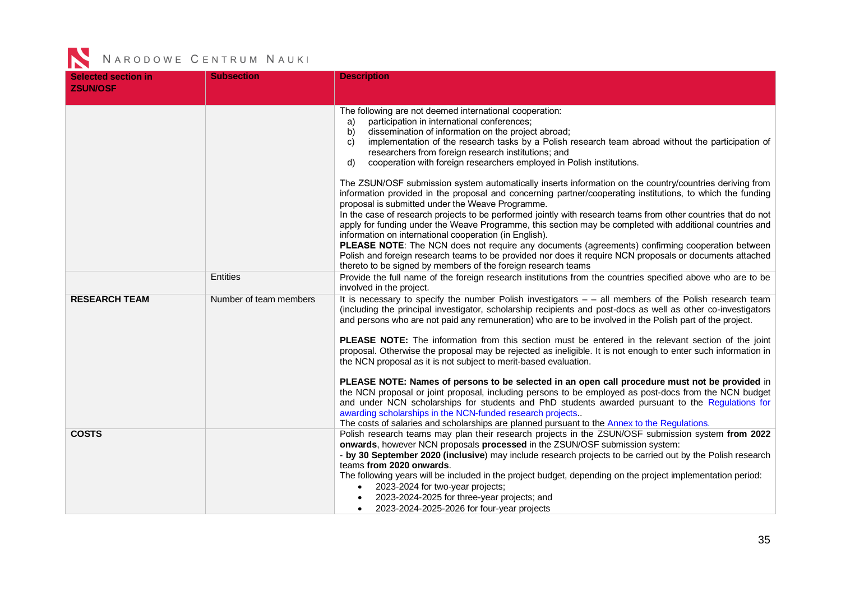| <b>Selected section in</b><br><b>ZSUN/OSF</b> | <b>Subsection</b>      | <b>Description</b>                                                                                                                                                                                                                                                                                                                                                                                                                                                                                                                                                                                                                                                                                                                                                                                                                                                                                                                                                                                                                                                                                            |
|-----------------------------------------------|------------------------|---------------------------------------------------------------------------------------------------------------------------------------------------------------------------------------------------------------------------------------------------------------------------------------------------------------------------------------------------------------------------------------------------------------------------------------------------------------------------------------------------------------------------------------------------------------------------------------------------------------------------------------------------------------------------------------------------------------------------------------------------------------------------------------------------------------------------------------------------------------------------------------------------------------------------------------------------------------------------------------------------------------------------------------------------------------------------------------------------------------|
|                                               |                        |                                                                                                                                                                                                                                                                                                                                                                                                                                                                                                                                                                                                                                                                                                                                                                                                                                                                                                                                                                                                                                                                                                               |
|                                               |                        | The following are not deemed international cooperation:<br>participation in international conferences;<br>a)<br>dissemination of information on the project abroad;<br>b)<br>implementation of the research tasks by a Polish research team abroad without the participation of<br>C)<br>researchers from foreign research institutions; and<br>cooperation with foreign researchers employed in Polish institutions.<br>d)                                                                                                                                                                                                                                                                                                                                                                                                                                                                                                                                                                                                                                                                                   |
|                                               |                        | The ZSUN/OSF submission system automatically inserts information on the country/countries deriving from<br>information provided in the proposal and concerning partner/cooperating institutions, to which the funding<br>proposal is submitted under the Weave Programme.<br>In the case of research projects to be performed jointly with research teams from other countries that do not<br>apply for funding under the Weave Programme, this section may be completed with additional countries and<br>information on international cooperation (in English).<br>PLEASE NOTE: The NCN does not require any documents (agreements) confirming cooperation between<br>Polish and foreign research teams to be provided nor does it require NCN proposals or documents attached<br>thereto to be signed by members of the foreign research teams                                                                                                                                                                                                                                                              |
|                                               | <b>Entities</b>        | Provide the full name of the foreign research institutions from the countries specified above who are to be<br>involved in the project.                                                                                                                                                                                                                                                                                                                                                                                                                                                                                                                                                                                                                                                                                                                                                                                                                                                                                                                                                                       |
| <b>RESEARCH TEAM</b>                          | Number of team members | It is necessary to specify the number Polish investigators $ -$ all members of the Polish research team<br>(including the principal investigator, scholarship recipients and post-docs as well as other co-investigators<br>and persons who are not paid any remuneration) who are to be involved in the Polish part of the project.<br>PLEASE NOTE: The information from this section must be entered in the relevant section of the joint<br>proposal. Otherwise the proposal may be rejected as ineligible. It is not enough to enter such information in<br>the NCN proposal as it is not subject to merit-based evaluation.<br>PLEASE NOTE: Names of persons to be selected in an open call procedure must not be provided in<br>the NCN proposal or joint proposal, including persons to be employed as post-docs from the NCN budget<br>and under NCN scholarships for students and PhD students awarded pursuant to the Regulations for<br>awarding scholarships in the NCN-funded research projects.<br>The costs of salaries and scholarships are planned pursuant to the Annex to the Regulations. |
| <b>COSTS</b>                                  |                        | Polish research teams may plan their research projects in the ZSUN/OSF submission system from 2022<br>onwards, however NCN proposals processed in the ZSUN/OSF submission system:<br>- by 30 September 2020 (inclusive) may include research projects to be carried out by the Polish research<br>teams from 2020 onwards.<br>The following years will be included in the project budget, depending on the project implementation period:<br>2023-2024 for two-year projects;<br>2023-2024-2025 for three-year projects; and<br>2023-2024-2025-2026 for four-year projects<br>$\bullet$                                                                                                                                                                                                                                                                                                                                                                                                                                                                                                                       |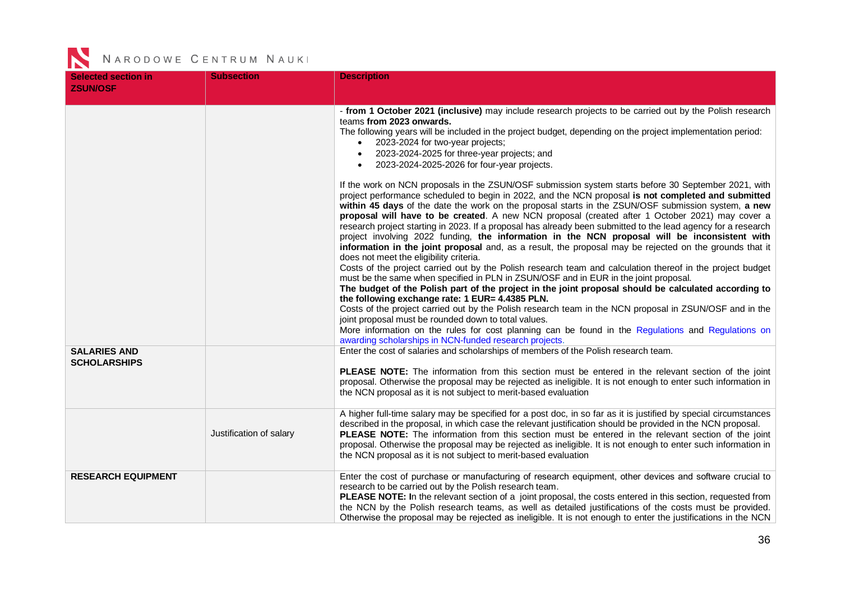| <b>Selected section in</b><br><b>ZSUN/OSF</b> | <b>Subsection</b>       | <b>Description</b>                                                                                                                                                                                                                                                                                                                                                                                                                                                                                                                                                                                                                                                                                                                                                                                                                                                                                                                                                                                                                                                                                                                                             |
|-----------------------------------------------|-------------------------|----------------------------------------------------------------------------------------------------------------------------------------------------------------------------------------------------------------------------------------------------------------------------------------------------------------------------------------------------------------------------------------------------------------------------------------------------------------------------------------------------------------------------------------------------------------------------------------------------------------------------------------------------------------------------------------------------------------------------------------------------------------------------------------------------------------------------------------------------------------------------------------------------------------------------------------------------------------------------------------------------------------------------------------------------------------------------------------------------------------------------------------------------------------|
|                                               |                         | - from 1 October 2021 (inclusive) may include research projects to be carried out by the Polish research<br>teams from 2023 onwards.<br>The following years will be included in the project budget, depending on the project implementation period:<br>2023-2024 for two-year projects;<br>2023-2024-2025 for three-year projects; and<br>$\bullet$<br>2023-2024-2025-2026 for four-year projects.<br>$\bullet$                                                                                                                                                                                                                                                                                                                                                                                                                                                                                                                                                                                                                                                                                                                                                |
|                                               |                         | If the work on NCN proposals in the ZSUN/OSF submission system starts before 30 September 2021, with<br>project performance scheduled to begin in 2022, and the NCN proposal is not completed and submitted<br>within 45 days of the date the work on the proposal starts in the ZSUN/OSF submission system, a new<br>proposal will have to be created. A new NCN proposal (created after 1 October 2021) may cover a<br>research project starting in 2023. If a proposal has already been submitted to the lead agency for a research<br>project involving 2022 funding, the information in the NCN proposal will be inconsistent with<br>information in the joint proposal and, as a result, the proposal may be rejected on the grounds that it<br>does not meet the eligibility criteria.<br>Costs of the project carried out by the Polish research team and calculation thereof in the project budget<br>must be the same when specified in PLN in ZSUN/OSF and in EUR in the joint proposal.<br>The budget of the Polish part of the project in the joint proposal should be calculated according to<br>the following exchange rate: 1 EUR= 4.4385 PLN. |
|                                               |                         | Costs of the project carried out by the Polish research team in the NCN proposal in ZSUN/OSF and in the<br>joint proposal must be rounded down to total values.<br>More information on the rules for cost planning can be found in the Regulations and Regulations on<br>awarding scholarships in NCN-funded research projects.                                                                                                                                                                                                                                                                                                                                                                                                                                                                                                                                                                                                                                                                                                                                                                                                                                |
| <b>SALARIES AND</b><br><b>SCHOLARSHIPS</b>    |                         | Enter the cost of salaries and scholarships of members of the Polish research team.<br>PLEASE NOTE: The information from this section must be entered in the relevant section of the joint<br>proposal. Otherwise the proposal may be rejected as ineligible. It is not enough to enter such information in<br>the NCN proposal as it is not subject to merit-based evaluation                                                                                                                                                                                                                                                                                                                                                                                                                                                                                                                                                                                                                                                                                                                                                                                 |
|                                               | Justification of salary | A higher full-time salary may be specified for a post doc, in so far as it is justified by special circumstances<br>described in the proposal, in which case the relevant justification should be provided in the NCN proposal.<br>PLEASE NOTE: The information from this section must be entered in the relevant section of the joint<br>proposal. Otherwise the proposal may be rejected as ineligible. It is not enough to enter such information in<br>the NCN proposal as it is not subject to merit-based evaluation                                                                                                                                                                                                                                                                                                                                                                                                                                                                                                                                                                                                                                     |
| <b>RESEARCH EQUIPMENT</b>                     |                         | Enter the cost of purchase or manufacturing of research equipment, other devices and software crucial to<br>research to be carried out by the Polish research team.<br>PLEASE NOTE: In the relevant section of a joint proposal, the costs entered in this section, requested from<br>the NCN by the Polish research teams, as well as detailed justifications of the costs must be provided.<br>Otherwise the proposal may be rejected as ineligible. It is not enough to enter the justifications in the NCN                                                                                                                                                                                                                                                                                                                                                                                                                                                                                                                                                                                                                                                 |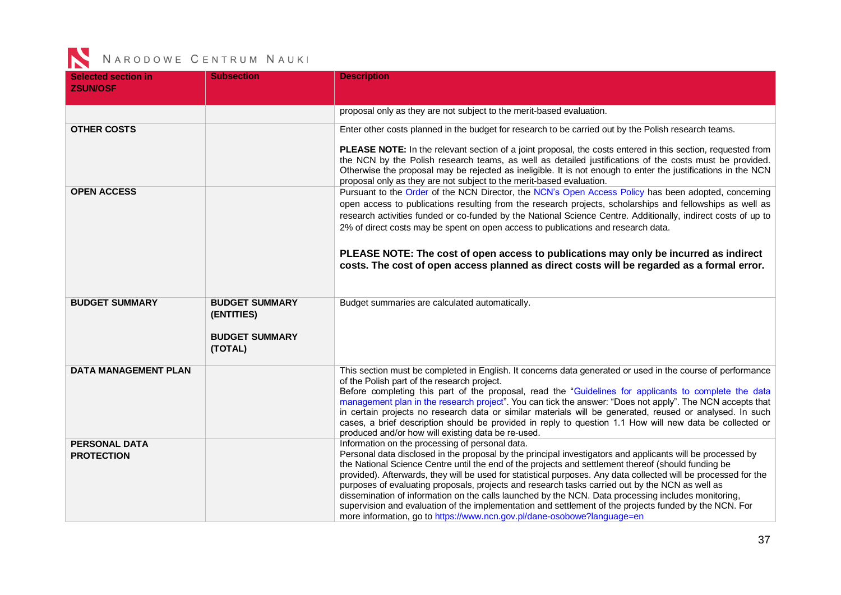| <b>Selected section in</b><br><b>ZSUN/OSF</b> | <b>Subsection</b>                                                       | <b>Description</b>                                                                                                                                                                                                                                                                                                                                                                                                                                                                                                                                                                                                                                                                                                                                                                     |
|-----------------------------------------------|-------------------------------------------------------------------------|----------------------------------------------------------------------------------------------------------------------------------------------------------------------------------------------------------------------------------------------------------------------------------------------------------------------------------------------------------------------------------------------------------------------------------------------------------------------------------------------------------------------------------------------------------------------------------------------------------------------------------------------------------------------------------------------------------------------------------------------------------------------------------------|
|                                               |                                                                         | proposal only as they are not subject to the merit-based evaluation.                                                                                                                                                                                                                                                                                                                                                                                                                                                                                                                                                                                                                                                                                                                   |
| <b>OTHER COSTS</b>                            |                                                                         | Enter other costs planned in the budget for research to be carried out by the Polish research teams.                                                                                                                                                                                                                                                                                                                                                                                                                                                                                                                                                                                                                                                                                   |
|                                               |                                                                         | PLEASE NOTE: In the relevant section of a joint proposal, the costs entered in this section, requested from<br>the NCN by the Polish research teams, as well as detailed justifications of the costs must be provided.<br>Otherwise the proposal may be rejected as ineligible. It is not enough to enter the justifications in the NCN<br>proposal only as they are not subject to the merit-based evaluation.                                                                                                                                                                                                                                                                                                                                                                        |
| <b>OPEN ACCESS</b>                            |                                                                         | Pursuant to the Order of the NCN Director, the NCN's Open Access Policy has been adopted, concerning<br>open access to publications resulting from the research projects, scholarships and fellowships as well as<br>research activities funded or co-funded by the National Science Centre. Additionally, indirect costs of up to<br>2% of direct costs may be spent on open access to publications and research data.<br>PLEASE NOTE: The cost of open access to publications may only be incurred as indirect<br>costs. The cost of open access planned as direct costs will be regarded as a formal error.                                                                                                                                                                         |
| <b>BUDGET SUMMARY</b>                         | <b>BUDGET SUMMARY</b><br>(ENTITIES)<br><b>BUDGET SUMMARY</b><br>(TOTAL) | Budget summaries are calculated automatically.                                                                                                                                                                                                                                                                                                                                                                                                                                                                                                                                                                                                                                                                                                                                         |
| <b>DATA MANAGEMENT PLAN</b>                   |                                                                         | This section must be completed in English. It concerns data generated or used in the course of performance<br>of the Polish part of the research project.<br>Before completing this part of the proposal, read the "Guidelines for applicants to complete the data<br>management plan in the research project". You can tick the answer: "Does not apply". The NCN accepts that<br>in certain projects no research data or similar materials will be generated, reused or analysed. In such<br>cases, a brief description should be provided in reply to question 1.1 How will new data be collected or<br>produced and/or how will existing data be re-used.                                                                                                                          |
| <b>PERSONAL DATA</b><br><b>PROTECTION</b>     |                                                                         | Information on the processing of personal data.<br>Personal data disclosed in the proposal by the principal investigators and applicants will be processed by<br>the National Science Centre until the end of the projects and settlement thereof (should funding be<br>provided). Afterwards, they will be used for statistical purposes. Any data collected will be processed for the<br>purposes of evaluating proposals, projects and research tasks carried out by the NCN as well as<br>dissemination of information on the calls launched by the NCN. Data processing includes monitoring,<br>supervision and evaluation of the implementation and settlement of the projects funded by the NCN. For<br>more information, go to https://www.ncn.gov.pl/dane-osobowe?language=en |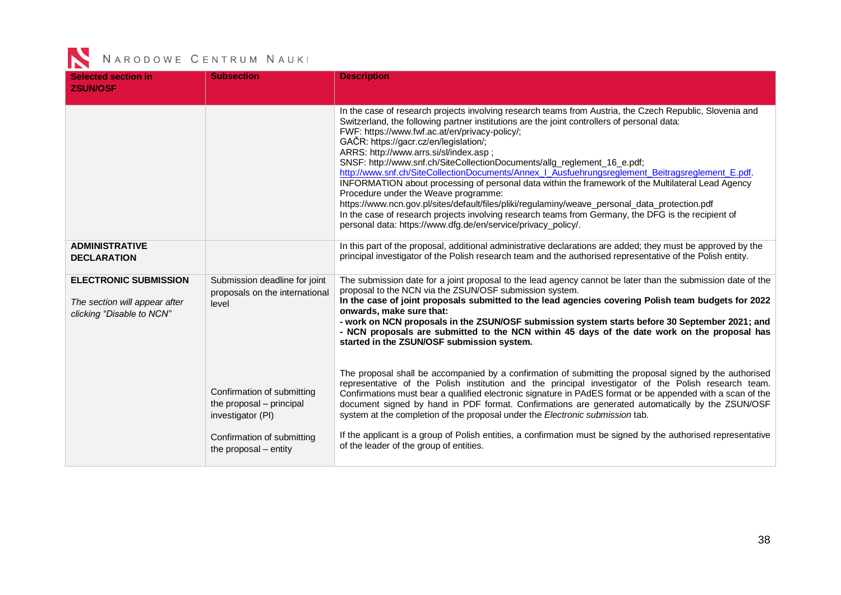| <b>Selected section in</b><br><b>ZSUN/OSF</b>                                              | <b>Subsection</b>                                                           | <b>Description</b>                                                                                                                                                                                                                                                                                                                                                                                                                                                                                                                                                                                                                                                                                                                                                                                                                                                                                                                                                                                                                                                    |
|--------------------------------------------------------------------------------------------|-----------------------------------------------------------------------------|-----------------------------------------------------------------------------------------------------------------------------------------------------------------------------------------------------------------------------------------------------------------------------------------------------------------------------------------------------------------------------------------------------------------------------------------------------------------------------------------------------------------------------------------------------------------------------------------------------------------------------------------------------------------------------------------------------------------------------------------------------------------------------------------------------------------------------------------------------------------------------------------------------------------------------------------------------------------------------------------------------------------------------------------------------------------------|
| <b>ADMINISTRATIVE</b>                                                                      |                                                                             | In the case of research projects involving research teams from Austria, the Czech Republic, Slovenia and<br>Switzerland, the following partner institutions are the joint controllers of personal data:<br>FWF: https://www.fwf.ac.at/en/privacy-policy/;<br>GAČR: https://gacr.cz/en/legislation/;<br>ARRS: http://www.arrs.si/sl/index.asp;<br>SNSF: http://www.snf.ch/SiteCollectionDocuments/allg_reglement_16_e.pdf;<br>http://www.snf.ch/SiteCollectionDocuments/Annex   Ausfuehrungsreglement Beitragsreglement E.pdf.<br>INFORMATION about processing of personal data within the framework of the Multilateral Lead Agency<br>Procedure under the Weave programme:<br>https://www.ncn.gov.pl/sites/default/files/pliki/regulaminy/weave_personal_data_protection.pdf<br>In the case of research projects involving research teams from Germany, the DFG is the recipient of<br>personal data: https://www.dfg.de/en/service/privacy_policy/.<br>In this part of the proposal, additional administrative declarations are added; they must be approved by the |
| <b>DECLARATION</b>                                                                         |                                                                             | principal investigator of the Polish research team and the authorised representative of the Polish entity.                                                                                                                                                                                                                                                                                                                                                                                                                                                                                                                                                                                                                                                                                                                                                                                                                                                                                                                                                            |
| <b>ELECTRONIC SUBMISSION</b><br>The section will appear after<br>clicking "Disable to NCN" | Submission deadline for joint<br>proposals on the international<br>level    | The submission date for a joint proposal to the lead agency cannot be later than the submission date of the<br>proposal to the NCN via the ZSUN/OSF submission system.<br>In the case of joint proposals submitted to the lead agencies covering Polish team budgets for 2022<br>onwards, make sure that:<br>- work on NCN proposals in the ZSUN/OSF submission system starts before 30 September 2021; and<br>- NCN proposals are submitted to the NCN within 45 days of the date work on the proposal has<br>started in the ZSUN/OSF submission system.                                                                                                                                                                                                                                                                                                                                                                                                                                                                                                             |
|                                                                                            | Confirmation of submitting<br>the proposal - principal<br>investigator (PI) | The proposal shall be accompanied by a confirmation of submitting the proposal signed by the authorised<br>representative of the Polish institution and the principal investigator of the Polish research team.<br>Confirmations must bear a qualified electronic signature in PAdES format or be appended with a scan of the<br>document signed by hand in PDF format. Confirmations are generated automatically by the ZSUN/OSF<br>system at the completion of the proposal under the Electronic submission tab.                                                                                                                                                                                                                                                                                                                                                                                                                                                                                                                                                    |
|                                                                                            | Confirmation of submitting<br>the proposal - entity                         | If the applicant is a group of Polish entities, a confirmation must be signed by the authorised representative<br>of the leader of the group of entities.                                                                                                                                                                                                                                                                                                                                                                                                                                                                                                                                                                                                                                                                                                                                                                                                                                                                                                             |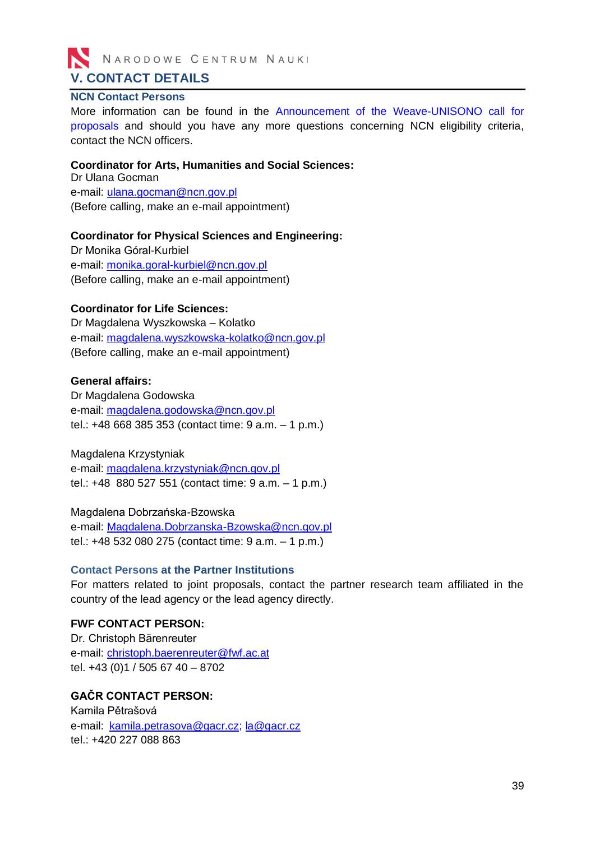

#### <span id="page-38-1"></span><span id="page-38-0"></span>**NCN Contact Persons**

More information can be found in the [Announcement of the Weave-UNISONO](https://www.ncn.gov.pl/ogloszenia/konkursy/weave-unisono?language=en) call for [proposals](https://www.ncn.gov.pl/ogloszenia/konkursy/weave-unisono?language=en) and should you have any more questions concerning NCN eligibility criteria, contact the NCN officers.

#### **Coordinator for Arts, Humanities and Social Sciences:**

Dr Ulana Gocman e-mail: [ulana.gocman@ncn.gov.pl](mailto:aneta.pazik@ncn.gov.pl) (Before calling, make an e-mail appointment)

#### **Coordinator for Physical Sciences and Engineering:**

Dr Monika Góral-Kurbiel e-mail: [monika.goral-kurbiel@ncn.gov.pl](mailto:monika.goral-kurbiel@ncn.gov.pl) (Before calling, make an e-mail appointment)

#### **Coordinator for Life Sciences:**

Dr Magdalena Wyszkowska – Kolatko e-mail: [magdalena.wyszkowska-kolatko@ncn.gov.pl](mailto:magdalena.wyszkowska-kolatko@ncn.gov.pl) (Before calling, make an e-mail appointment)

#### **General affairs:**

Dr Magdalena Godowska e-mail: [magdalena.godowska@ncn.gov.pl](mailto:magdalena.godowska@ncn.gov.pl) tel.: +48 668 385 353 (contact time: 9 a.m. – 1 p.m.)

Magdalena Krzystyniak e-mail: [magdalena.krzystyniak@ncn.gov.pl](mailto:magdalena.krzystyniak@ncn.gov.pl) tel.: +48 880 527 551 (contact time: 9 a.m. – 1 p.m.)

Magdalena Dobrzańska-Bzowska e-mail: [Magdalena.Dobrzanska-Bzowska@ncn.gov.pl](mailto:Magdalena.Dobrzanska-Bzowska@ncn.gov.pl) tel.: +48 532 080 275 (contact time: 9 a.m. – 1 p.m.)

#### <span id="page-38-2"></span>**Contact Persons at the Partner Institutions**

For matters related to joint proposals, contact the partner research team affiliated in the country of the lead agency or the lead agency directly.

#### **FWF CONTACT PERSON:**

Dr. Christoph Bärenreuter e-mail: [christoph.baerenreuter@fwf.ac.at](mailto:christoph.baerenreuter@fwf.ac.at) tel. +43 (0)1 / 505 67 40 – 8702

#### **GAČR CONTACT PERSON:**

Kamila Pětrašová e-mail: [kamila.petrasova@gacr.cz;](mailto:kamila.petrasova@gacr.cz) [la@gacr.cz](mailto:la@gacr.cz) tel.: +420 227 088 863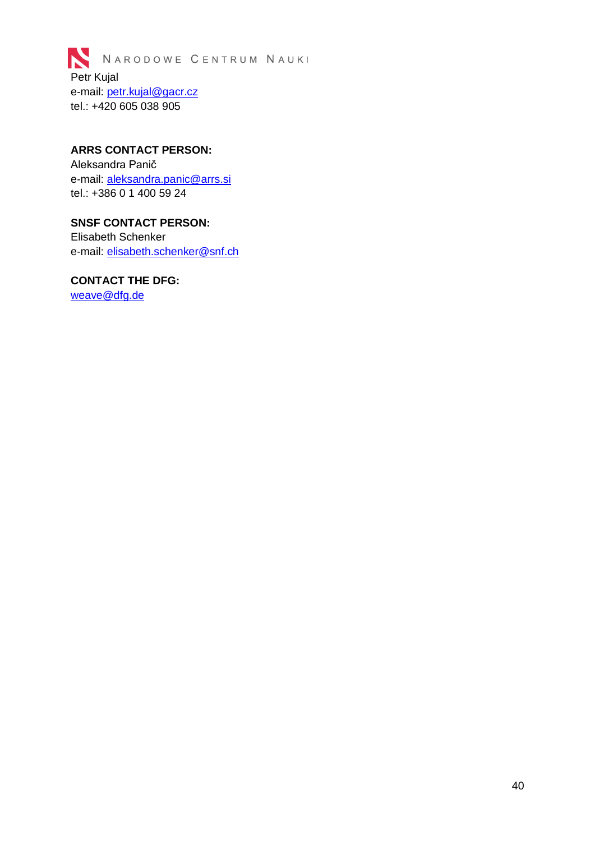

### **ARRS CONTACT PERSON:** Aleksandra Panič e-mail: [aleksandra.panic@arrs.si](mailto:aleksandra.panic@arrs.si)

tel.: +386 0 1 400 59 24

### **SNSF CONTACT PERSON:** Elisabeth Schenker e-mail: [elisabeth.schenker@snf.ch](mailto:elisabeth.schenker@snf.ch)

### **CONTACT THE DFG:**

[weave@dfg.de](mailto:weave@dfg.de)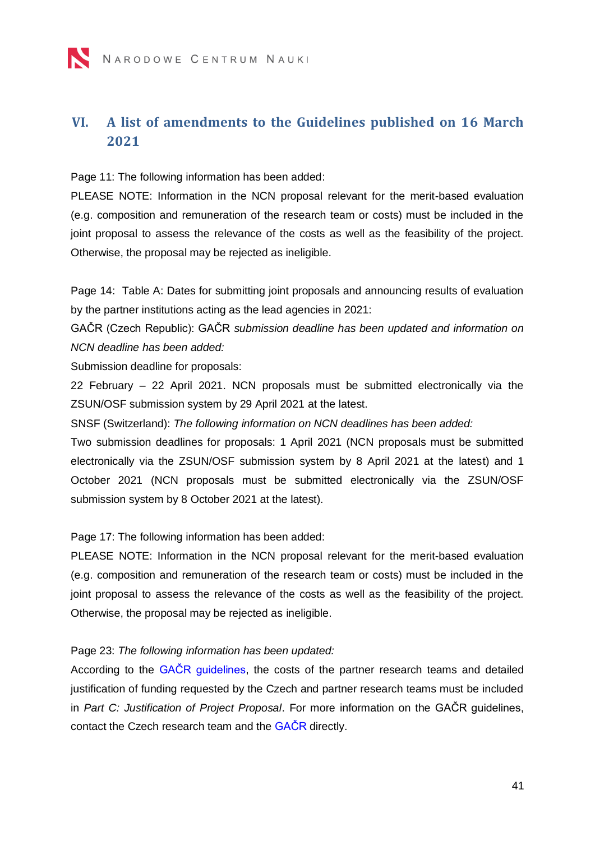# <span id="page-40-1"></span><span id="page-40-0"></span>**VI. A list of amendments to the Guidelines published on 16 March 2021**

Page 11: The following information has been added:

PLEASE NOTE: Information in the NCN proposal relevant for the merit-based evaluation (e.g. composition and remuneration of the research team or costs) must be included in the joint proposal to assess the relevance of the costs as well as the feasibility of the project. Otherwise, the proposal may be rejected as ineligible.

Page 14: Table A: Dates for submitting joint proposals and announcing results of evaluation by the partner institutions acting as the lead agencies in 2021:

GAČR (Czech Republic): GAČR *submission deadline has been updated and information on NCN deadline has been added:* 

Submission deadline for proposals:

22 February – 22 April 2021. NCN proposals must be submitted electronically via the ZSUN/OSF submission system by 29 April 2021 at the latest.

SNSF (Switzerland): *The following information on NCN deadlines has been added:* 

Two submission deadlines for proposals: 1 April 2021 (NCN proposals must be submitted electronically via the ZSUN/OSF submission system by 8 April 2021 at the latest) and 1 October 2021 (NCN proposals must be submitted electronically via the ZSUN/OSF submission system by 8 October 2021 at the latest).

Page 17: The following information has been added:

PLEASE NOTE: Information in the NCN proposal relevant for the merit-based evaluation (e.g. composition and remuneration of the research team or costs) must be included in the joint proposal to assess the relevance of the costs as well as the feasibility of the project. Otherwise, the proposal may be rejected as ineligible.

Page 23: *The following information has been updated:*

According to the GACR guidelines, the costs of the partner research teams and detailed justification of funding requested by the Czech and partner research teams must be included in *Part C: Justification of Project Proposal*. For more information on the GAČR guidelines, contact the Czech research team and the [GAČR](#page-38-2) directly.